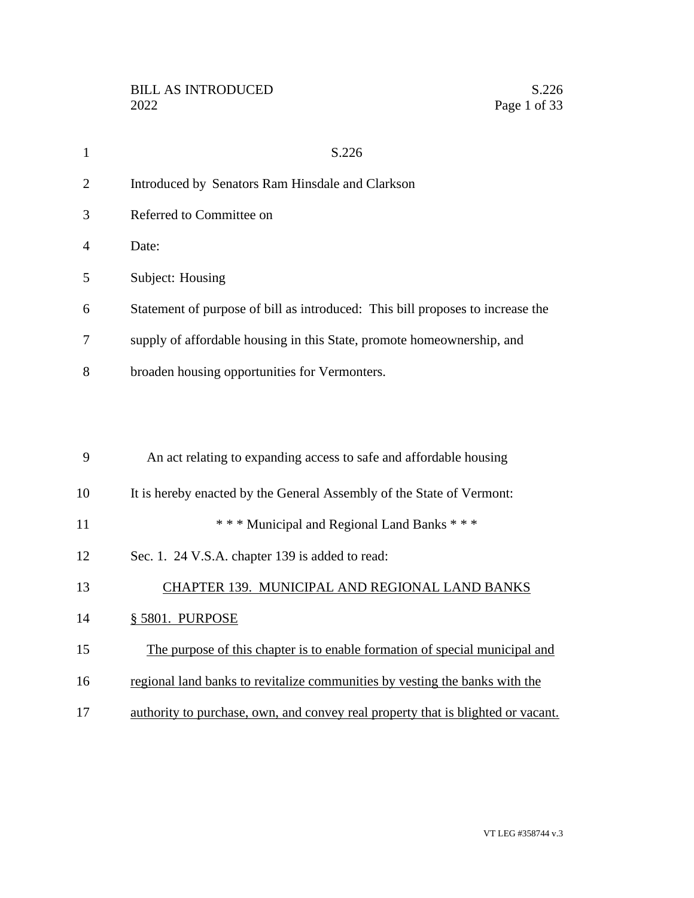| $\mathbf{1}$   | S.226                                                                            |
|----------------|----------------------------------------------------------------------------------|
| $\mathbf{2}$   | Introduced by Senators Ram Hinsdale and Clarkson                                 |
| 3              | Referred to Committee on                                                         |
| $\overline{4}$ | Date:                                                                            |
| 5              | Subject: Housing                                                                 |
| 6              | Statement of purpose of bill as introduced: This bill proposes to increase the   |
| 7              | supply of affordable housing in this State, promote homeownership, and           |
| 8              | broaden housing opportunities for Vermonters.                                    |
|                |                                                                                  |
| 9              | An act relating to expanding access to safe and affordable housing               |
| 10             | It is hereby enacted by the General Assembly of the State of Vermont:            |
| 11             | *** Municipal and Regional Land Banks ***                                        |
| 12             | Sec. 1. 24 V.S.A. chapter 139 is added to read:                                  |
| 13             | CHAPTER 139. MUNICIPAL AND REGIONAL LAND BANKS                                   |
| 14             | § 5801. PURPOSE                                                                  |
| 15             | The purpose of this chapter is to enable formation of special municipal and      |
| 16             | regional land banks to revitalize communities by vesting the banks with the      |
| 17             | authority to purchase, own, and convey real property that is blighted or vacant. |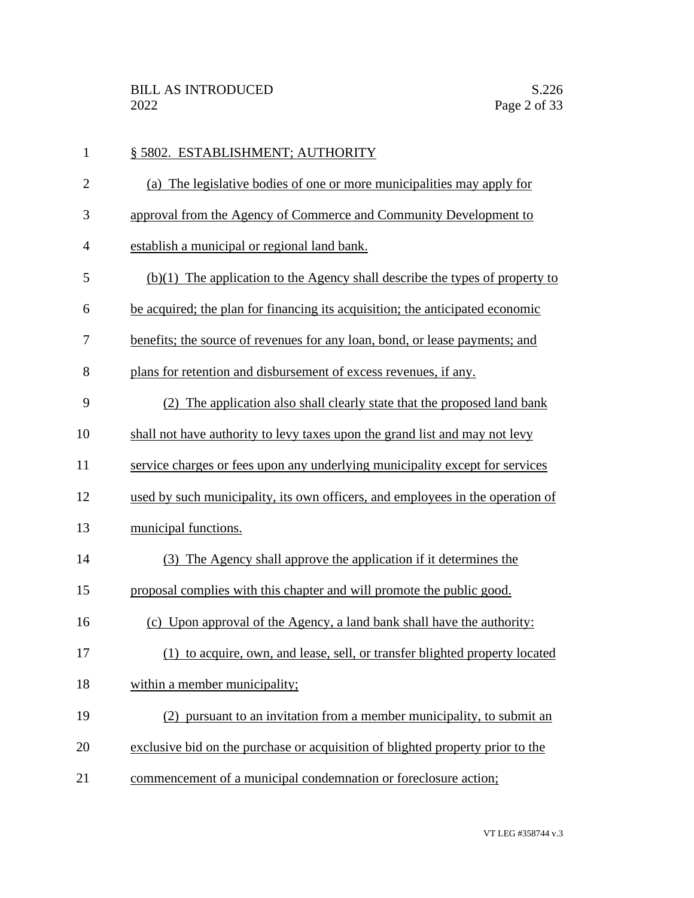| $\mathbf{1}$   | § 5802. ESTABLISHMENT; AUTHORITY                                               |
|----------------|--------------------------------------------------------------------------------|
| $\overline{2}$ | (a) The legislative bodies of one or more municipalities may apply for         |
| 3              | approval from the Agency of Commerce and Community Development to              |
| $\overline{4}$ | establish a municipal or regional land bank.                                   |
| 5              | $(b)(1)$ The application to the Agency shall describe the types of property to |
| 6              | be acquired; the plan for financing its acquisition; the anticipated economic  |
| 7              | benefits; the source of revenues for any loan, bond, or lease payments; and    |
| 8              | plans for retention and disbursement of excess revenues, if any.               |
| 9              | (2) The application also shall clearly state that the proposed land bank       |
| 10             | shall not have authority to levy taxes upon the grand list and may not levy    |
| 11             | service charges or fees upon any underlying municipality except for services   |
| 12             | used by such municipality, its own officers, and employees in the operation of |
| 13             | municipal functions.                                                           |
| 14             | (3) The Agency shall approve the application if it determines the              |
| 15             | proposal complies with this chapter and will promote the public good.          |
| 16             | (c) Upon approval of the Agency, a land bank shall have the authority:         |
| 17             | (1) to acquire, own, and lease, sell, or transfer blighted property located    |
| 18             | within a member municipality;                                                  |
| 19             | (2) pursuant to an invitation from a member municipality, to submit an         |
| 20             | exclusive bid on the purchase or acquisition of blighted property prior to the |
| 21             | commencement of a municipal condemnation or foreclosure action;                |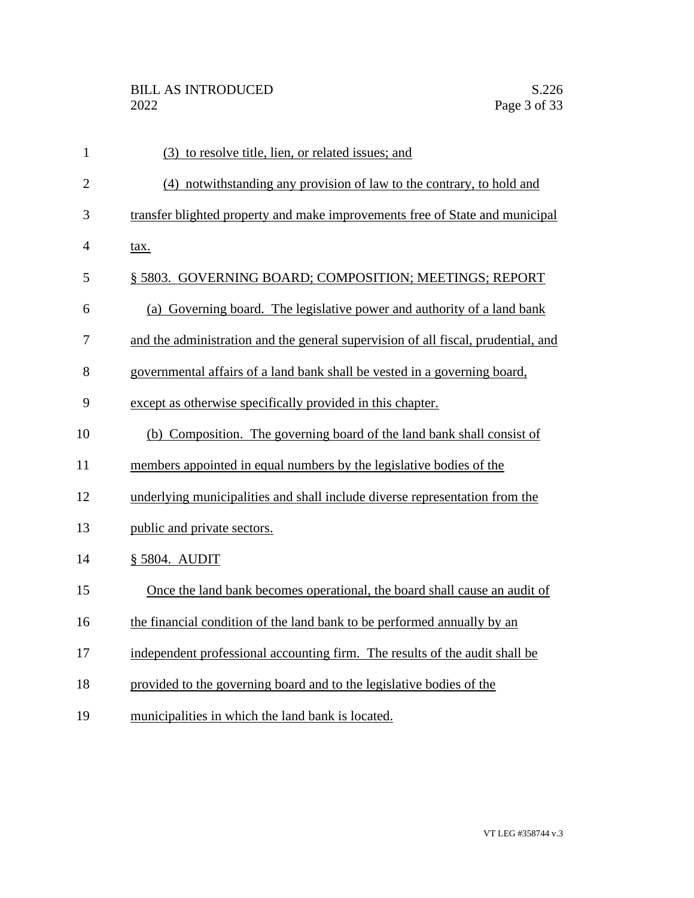| $\mathbf{1}$   | (3) to resolve title, lien, or related issues; and                                |
|----------------|-----------------------------------------------------------------------------------|
| $\overline{2}$ | (4) notwithstanding any provision of law to the contrary, to hold and             |
| 3              | transfer blighted property and make improvements free of State and municipal      |
| $\overline{4}$ | tax.                                                                              |
| 5              | § 5803. GOVERNING BOARD; COMPOSITION; MEETINGS; REPORT                            |
| 6              | (a) Governing board. The legislative power and authority of a land bank           |
| 7              | and the administration and the general supervision of all fiscal, prudential, and |
| 8              | governmental affairs of a land bank shall be vested in a governing board,         |
| 9              | except as otherwise specifically provided in this chapter.                        |
| 10             | (b) Composition. The governing board of the land bank shall consist of            |
| 11             | members appointed in equal numbers by the legislative bodies of the               |
| 12             | underlying municipalities and shall include diverse representation from the       |
| 13             | public and private sectors.                                                       |
| 14             | § 5804. AUDIT                                                                     |
| 15             | Once the land bank becomes operational, the board shall cause an audit of         |
| 16             | the financial condition of the land bank to be performed annually by an           |
| 17             | independent professional accounting firm. The results of the audit shall be       |
| 18             | provided to the governing board and to the legislative bodies of the              |
| 19             | municipalities in which the land bank is located.                                 |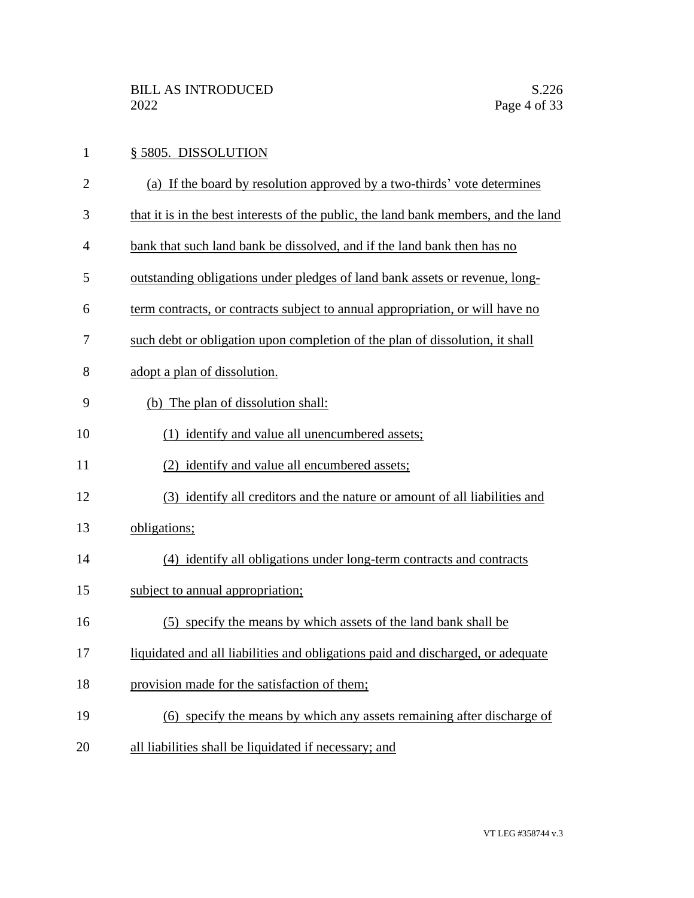| $\mathbf{1}$   | § 5805. DISSOLUTION                                                                 |
|----------------|-------------------------------------------------------------------------------------|
| $\overline{2}$ | (a) If the board by resolution approved by a two-thirds' vote determines            |
| 3              | that it is in the best interests of the public, the land bank members, and the land |
| 4              | bank that such land bank be dissolved, and if the land bank then has no             |
| 5              | outstanding obligations under pledges of land bank assets or revenue, long-         |
| 6              | term contracts, or contracts subject to annual appropriation, or will have no       |
| 7              | such debt or obligation upon completion of the plan of dissolution, it shall        |
| 8              | adopt a plan of dissolution.                                                        |
| 9              | (b) The plan of dissolution shall:                                                  |
| 10             | (1) identify and value all unencumbered assets;                                     |
| 11             | (2) identify and value all encumbered assets;                                       |
| 12             | (3) identify all creditors and the nature or amount of all liabilities and          |
| 13             | obligations;                                                                        |
| 14             | (4) identify all obligations under long-term contracts and contracts                |
| 15             | subject to annual appropriation;                                                    |
| 16             | (5) specify the means by which assets of the land bank shall be                     |
| 17             | liquidated and all liabilities and obligations paid and discharged, or adequate     |
| 18             | provision made for the satisfaction of them;                                        |
| 19             | (6) specify the means by which any assets remaining after discharge of              |
|                |                                                                                     |

20 all liabilities shall be liquidated if necessary; and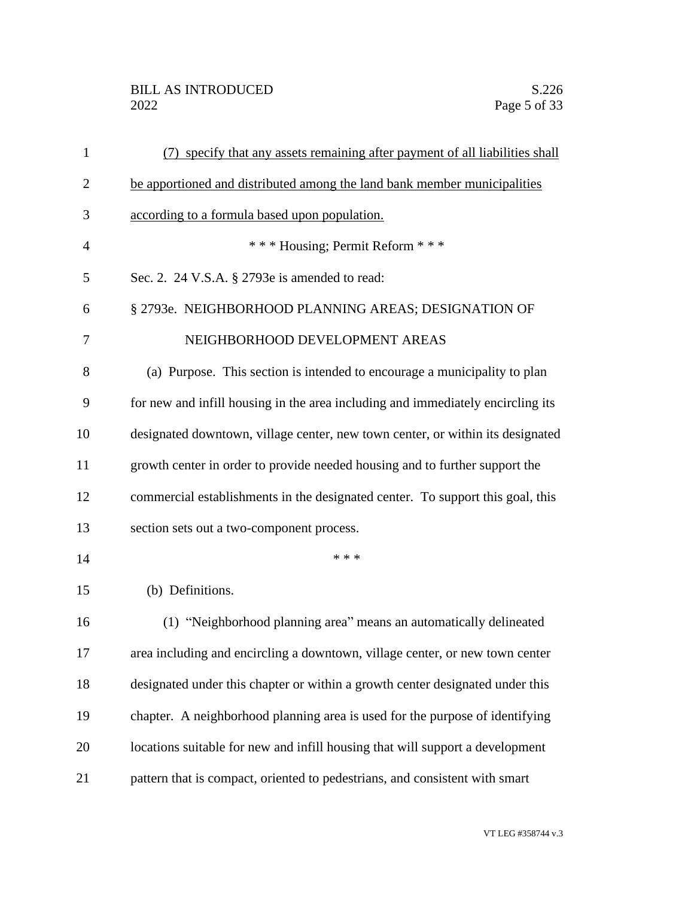# BILL AS INTRODUCED<br>2022 Page 5 of 33

| $\mathbf{1}$   | (7) specify that any assets remaining after payment of all liabilities shall    |
|----------------|---------------------------------------------------------------------------------|
| $\overline{2}$ | be apportioned and distributed among the land bank member municipalities        |
| 3              | according to a formula based upon population.                                   |
| $\overline{4}$ | *** Housing; Permit Reform ***                                                  |
| 5              | Sec. 2. 24 V.S.A. § 2793e is amended to read:                                   |
| 6              | § 2793e. NEIGHBORHOOD PLANNING AREAS; DESIGNATION OF                            |
| 7              | NEIGHBORHOOD DEVELOPMENT AREAS                                                  |
| 8              | (a) Purpose. This section is intended to encourage a municipality to plan       |
| 9              | for new and infill housing in the area including and immediately encircling its |
| 10             | designated downtown, village center, new town center, or within its designated  |
| 11             | growth center in order to provide needed housing and to further support the     |
| 12             | commercial establishments in the designated center. To support this goal, this  |
| 13             | section sets out a two-component process.                                       |
| 14             | * * *                                                                           |
| 15             | (b) Definitions.                                                                |
| 16             | (1) "Neighborhood planning area" means an automatically delineated              |
| 17             | area including and encircling a downtown, village center, or new town center    |
| 18             | designated under this chapter or within a growth center designated under this   |
| 19             | chapter. A neighborhood planning area is used for the purpose of identifying    |
| 20             | locations suitable for new and infill housing that will support a development   |
| 21             | pattern that is compact, oriented to pedestrians, and consistent with smart     |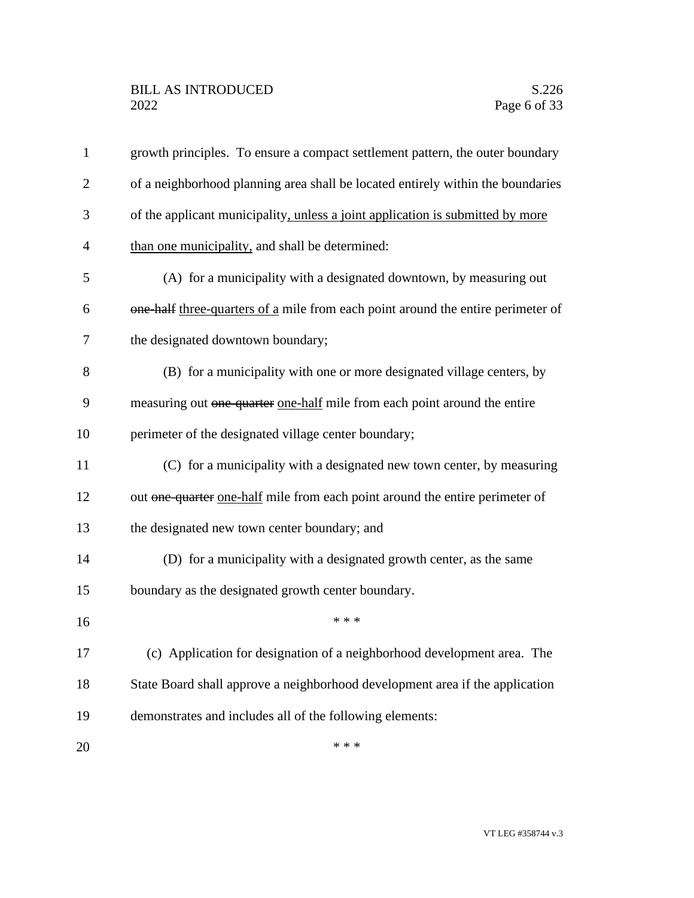| $\mathbf{1}$   | growth principles. To ensure a compact settlement pattern, the outer boundary    |
|----------------|----------------------------------------------------------------------------------|
| $\overline{2}$ | of a neighborhood planning area shall be located entirely within the boundaries  |
| 3              | of the applicant municipality, unless a joint application is submitted by more   |
| $\overline{4}$ | than one municipality, and shall be determined:                                  |
| 5              | (A) for a municipality with a designated downtown, by measuring out              |
| 6              | one half three-quarters of a mile from each point around the entire perimeter of |
| 7              | the designated downtown boundary;                                                |
| 8              | (B) for a municipality with one or more designated village centers, by           |
| 9              | measuring out one-quarter one-half mile from each point around the entire        |
| 10             | perimeter of the designated village center boundary;                             |
| 11             | (C) for a municipality with a designated new town center, by measuring           |
| 12             | out one-quarter one-half mile from each point around the entire perimeter of     |
| 13             | the designated new town center boundary; and                                     |
| 14             | (D) for a municipality with a designated growth center, as the same              |
| 15             | boundary as the designated growth center boundary.                               |
| 16             | * * *                                                                            |
| 17             | (c) Application for designation of a neighborhood development area. The          |
| 18             | State Board shall approve a neighborhood development area if the application     |
| 19             | demonstrates and includes all of the following elements:                         |
| 20             | * * *                                                                            |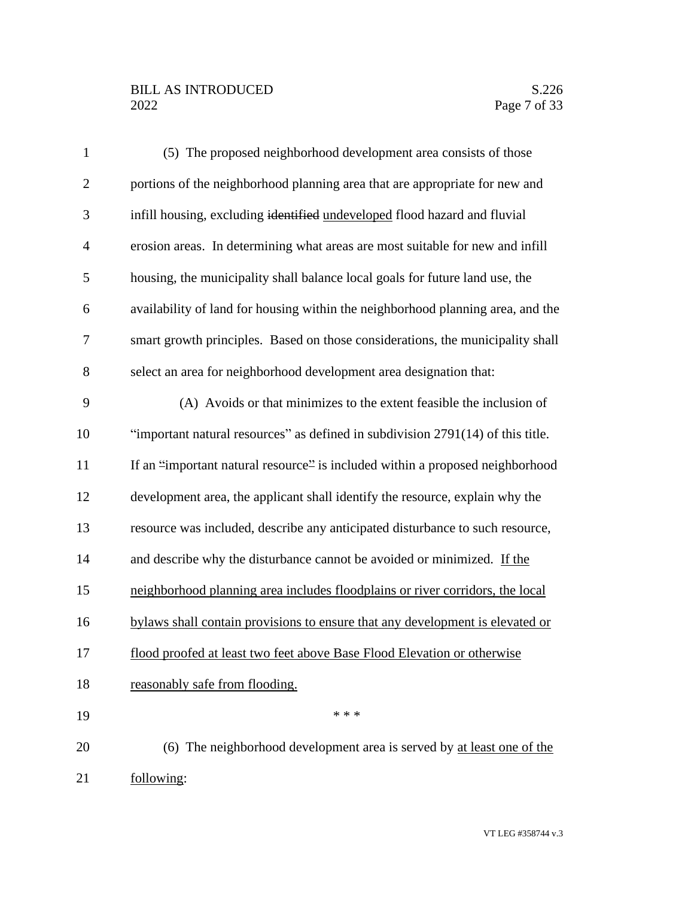# BILL AS INTRODUCED<br>2022 Page 7 of 33

| $\mathbf{1}$   | (5) The proposed neighborhood development area consists of those                |
|----------------|---------------------------------------------------------------------------------|
| $\overline{2}$ | portions of the neighborhood planning area that are appropriate for new and     |
| 3              | infill housing, excluding identified undeveloped flood hazard and fluvial       |
| $\overline{4}$ | erosion areas. In determining what areas are most suitable for new and infill   |
| 5              | housing, the municipality shall balance local goals for future land use, the    |
| 6              | availability of land for housing within the neighborhood planning area, and the |
| 7              | smart growth principles. Based on those considerations, the municipality shall  |
| 8              | select an area for neighborhood development area designation that:              |
| 9              | (A) Avoids or that minimizes to the extent feasible the inclusion of            |
| 10             | "important natural resources" as defined in subdivision 2791(14) of this title. |
| 11             | If an "important natural resource" is included within a proposed neighborhood   |
| 12             | development area, the applicant shall identify the resource, explain why the    |
| 13             | resource was included, describe any anticipated disturbance to such resource,   |
| 14             | and describe why the disturbance cannot be avoided or minimized. If the         |
| 15             | neighborhood planning area includes floodplains or river corridors, the local   |
| 16             | bylaws shall contain provisions to ensure that any development is elevated or   |
| 17             | flood proofed at least two feet above Base Flood Elevation or otherwise         |
| 18             | reasonably safe from flooding.                                                  |
| 19             | * * *                                                                           |
| 20             | (6) The neighborhood development area is served by at least one of the          |
| 21             | following:                                                                      |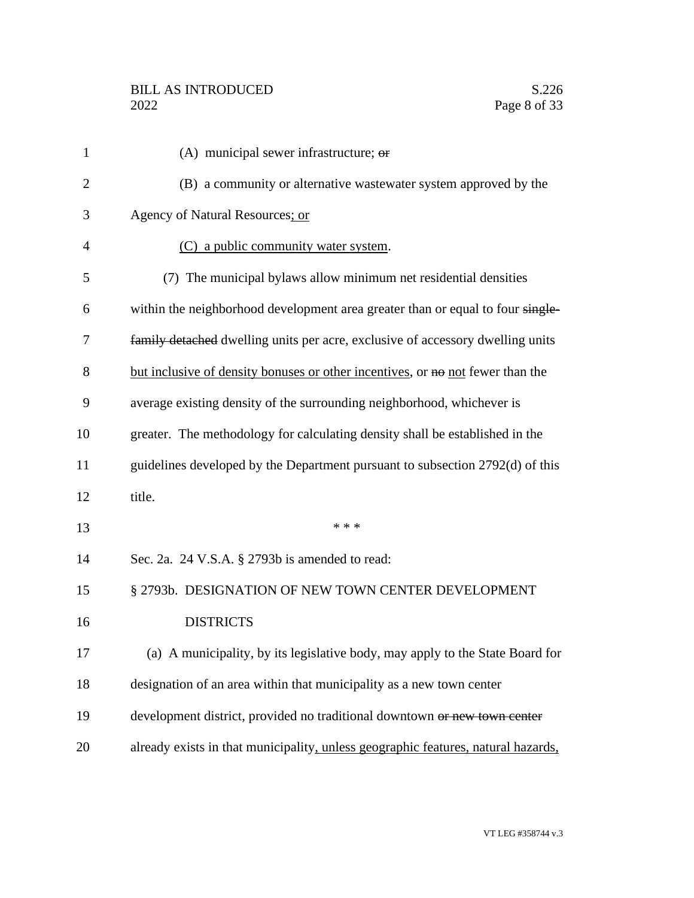| $\mathbf{1}$   | (A) municipal sewer infrastructure; $\theta$                                      |
|----------------|-----------------------------------------------------------------------------------|
| $\overline{2}$ | (B) a community or alternative wastewater system approved by the                  |
| 3              | Agency of Natural Resources; or                                                   |
| 4              | (C) a public community water system.                                              |
| 5              | (7) The municipal bylaws allow minimum net residential densities                  |
| 6              | within the neighborhood development area greater than or equal to four single-    |
| 7              | family detached dwelling units per acre, exclusive of accessory dwelling units    |
| 8              | but inclusive of density bonuses or other incentives, or no not fewer than the    |
| 9              | average existing density of the surrounding neighborhood, whichever is            |
| 10             | greater. The methodology for calculating density shall be established in the      |
| 11             | guidelines developed by the Department pursuant to subsection 2792(d) of this     |
| 12             | title.                                                                            |
| 13             | * * *                                                                             |
| 14             | Sec. 2a. 24 V.S.A. § 2793b is amended to read:                                    |
| 15             | § 2793b. DESIGNATION OF NEW TOWN CENTER DEVELOPMENT                               |
| 16             | <b>DISTRICTS</b>                                                                  |
| 17             | (a) A municipality, by its legislative body, may apply to the State Board for     |
| 18             | designation of an area within that municipality as a new town center              |
| 19             | development district, provided no traditional downtown or new town center         |
| 20             | already exists in that municipality, unless geographic features, natural hazards, |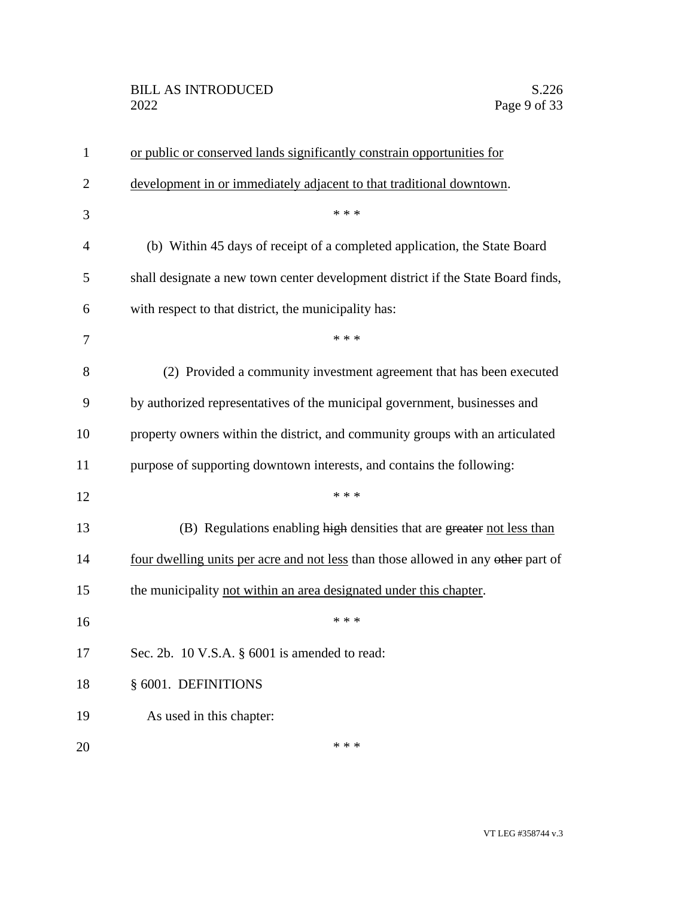# BILL AS INTRODUCED<br>2022 Page 9 of 33

| $\mathbf{1}$   | or public or conserved lands significantly constrain opportunities for            |
|----------------|-----------------------------------------------------------------------------------|
| $\overline{c}$ | development in or immediately adjacent to that traditional downtown.              |
| 3              | * * *                                                                             |
| 4              | (b) Within 45 days of receipt of a completed application, the State Board         |
| 5              | shall designate a new town center development district if the State Board finds,  |
| 6              | with respect to that district, the municipality has:                              |
| 7              | * * *                                                                             |
| 8              | (2) Provided a community investment agreement that has been executed              |
| 9              | by authorized representatives of the municipal government, businesses and         |
| 10             | property owners within the district, and community groups with an articulated     |
| 11             | purpose of supporting downtown interests, and contains the following:             |
| 12             | * * *                                                                             |
| 13             | (B) Regulations enabling high densities that are greater not less than            |
| 14             | four dwelling units per acre and not less than those allowed in any other part of |
| 15             | the municipality not within an area designated under this chapter.                |
| 16             | * * *                                                                             |
| 17             | Sec. 2b. 10 V.S.A. § 6001 is amended to read:                                     |
| 18             | § 6001. DEFINITIONS                                                               |
| 19             | As used in this chapter:                                                          |
| 20             | * * *                                                                             |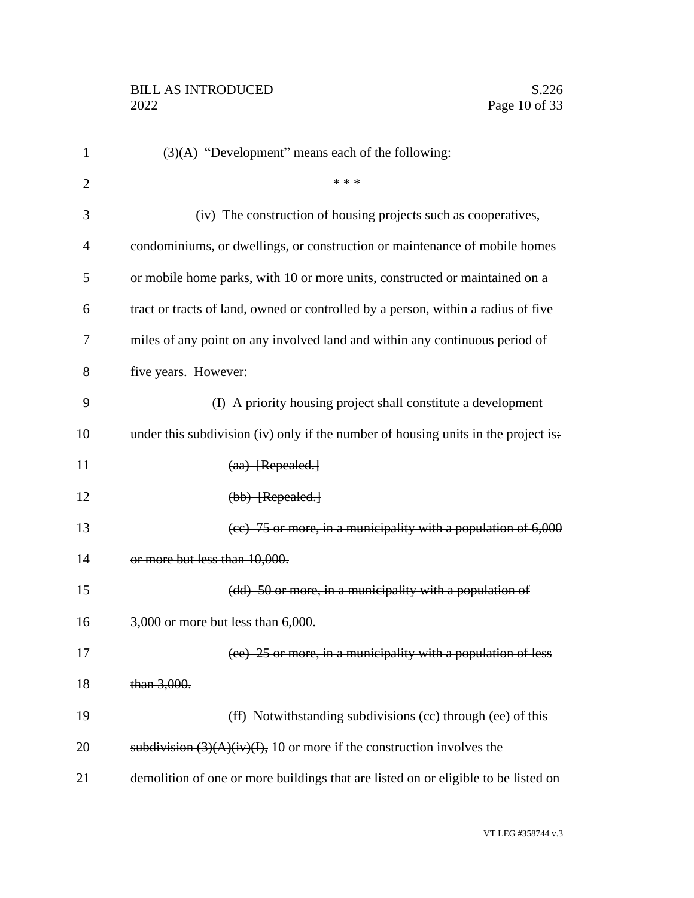| $\mathbf{1}$   | (3)(A) "Development" means each of the following:                                  |
|----------------|------------------------------------------------------------------------------------|
| $\overline{2}$ | * * *                                                                              |
| 3              | (iv) The construction of housing projects such as cooperatives,                    |
| $\overline{4}$ | condominiums, or dwellings, or construction or maintenance of mobile homes         |
| 5              | or mobile home parks, with 10 or more units, constructed or maintained on a        |
| 6              | tract or tracts of land, owned or controlled by a person, within a radius of five  |
| 7              | miles of any point on any involved land and within any continuous period of        |
| 8              | five years. However:                                                               |
| 9              | (I) A priority housing project shall constitute a development                      |
| 10             | under this subdivision (iv) only if the number of housing units in the project is: |
| 11             | $(aa)$ [Repealed.]                                                                 |
| 12             | (bb) [Repealed.]                                                                   |
| 13             | (ee) 75 or more, in a municipality with a population of 6,000                      |
| 14             | or more but less than 10,000.                                                      |
| 15             | (dd) 50 or more, in a municipality with a population of                            |
| 16             | 3,000 or more but less than 6,000.                                                 |
| 17             | (ee) 25 or more, in a municipality with a population of less                       |
| 18             | than 3,000.                                                                        |
| 19             | (ff) Notwithstanding subdivisions (cc) through (ee) of this                        |
| 20             | subdivision $(3)(A)(iv)(I)$ , 10 or more if the construction involves the          |
| 21             | demolition of one or more buildings that are listed on or eligible to be listed on |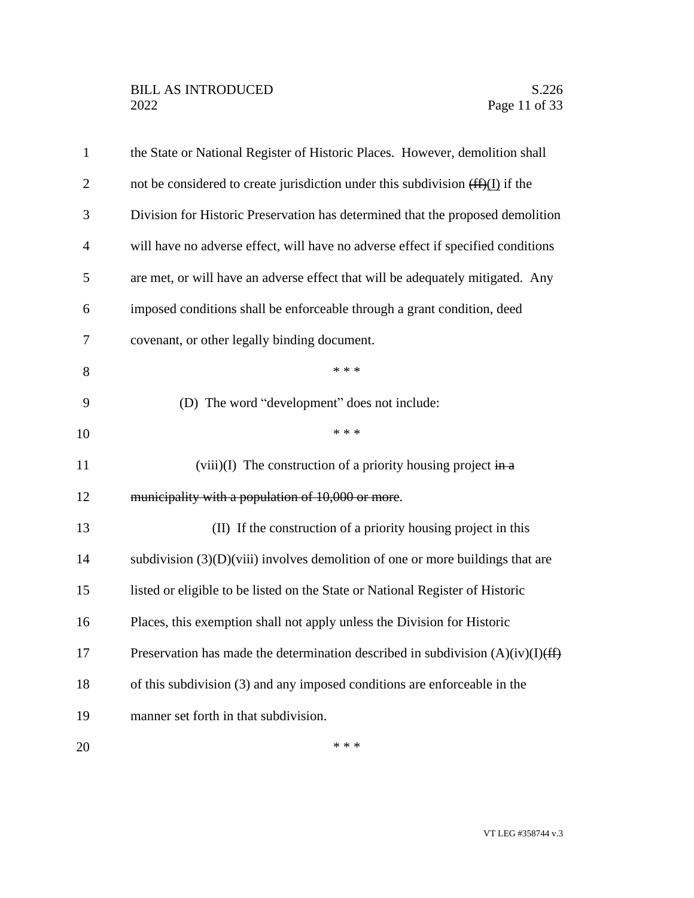| $\mathbf{1}$   | the State or National Register of Historic Places. However, demolition shall      |
|----------------|-----------------------------------------------------------------------------------|
| $\overline{2}$ | not be considered to create jurisdiction under this subdivision $(ff)(I)$ if the  |
| 3              | Division for Historic Preservation has determined that the proposed demolition    |
| $\overline{4}$ | will have no adverse effect, will have no adverse effect if specified conditions  |
| 5              | are met, or will have an adverse effect that will be adequately mitigated. Any    |
| 6              | imposed conditions shall be enforceable through a grant condition, deed           |
| 7              | covenant, or other legally binding document.                                      |
| 8              | * * *                                                                             |
| 9              | (D) The word "development" does not include:                                      |
| 10             | * * *                                                                             |
| 11             | (viii)(I) The construction of a priority housing project in a                     |
| 12             | municipality with a population of 10,000 or more.                                 |
| 13             | (II) If the construction of a priority housing project in this                    |
| 14             | subdivision $(3)(D)(viii)$ involves demolition of one or more buildings that are  |
| 15             | listed or eligible to be listed on the State or National Register of Historic     |
| 16             | Places, this exemption shall not apply unless the Division for Historic           |
| 17             | Preservation has made the determination described in subdivision $(A)(iv)(I)(ff)$ |
| 18             | of this subdivision (3) and any imposed conditions are enforceable in the         |
| 19             | manner set forth in that subdivision.                                             |
| 20             | * * *                                                                             |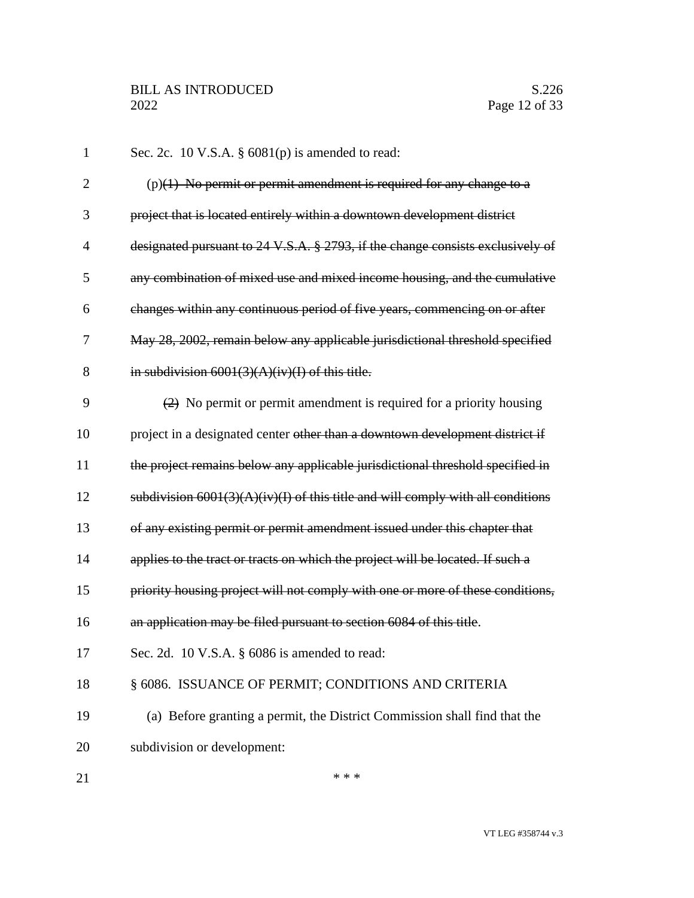| 1              | Sec. 2c. 10 V.S.A. § 6081(p) is amended to read:                                              |
|----------------|-----------------------------------------------------------------------------------------------|
| $\overline{2}$ | $(p)(1)$ No permit or permit amendment is required for any change to a                        |
| 3              | project that is located entirely within a downtown development district                       |
| $\overline{4}$ | designated pursuant to 24 V.S.A. § 2793, if the change consists exclusively of                |
| 5              | any combination of mixed use and mixed income housing, and the cumulative                     |
| 6              | changes within any continuous period of five years, commencing on or after                    |
| 7              | May 28, 2002, remain below any applicable jurisdictional threshold specified                  |
| 8              | in subdivision $6001(3)(A)(iv)(I)$ of this title.                                             |
| 9              | $\left( \frac{2}{2} \right)$ No permit or permit amendment is required for a priority housing |
| 10             | project in a designated center other than a downtown development district if                  |
| 11             | the project remains below any applicable jurisdictional threshold specified in                |
| 12             | subdivision $6001(3)(A)(iv)(I)$ of this title and will comply with all conditions             |
| 13             | of any existing permit or permit amendment issued under this chapter that                     |
| 14             | applies to the tract or tracts on which the project will be located. If such a                |
| 15             | priority housing project will not comply with one or more of these conditions,                |
| 16             | an application may be filed pursuant to section 6084 of this title.                           |
| 17             | Sec. 2d. 10 V.S.A. § 6086 is amended to read:                                                 |
| 18             | § 6086. ISSUANCE OF PERMIT; CONDITIONS AND CRITERIA                                           |
| 19             | (a) Before granting a permit, the District Commission shall find that the                     |
| 20             | subdivision or development:                                                                   |
| 21             | * * *                                                                                         |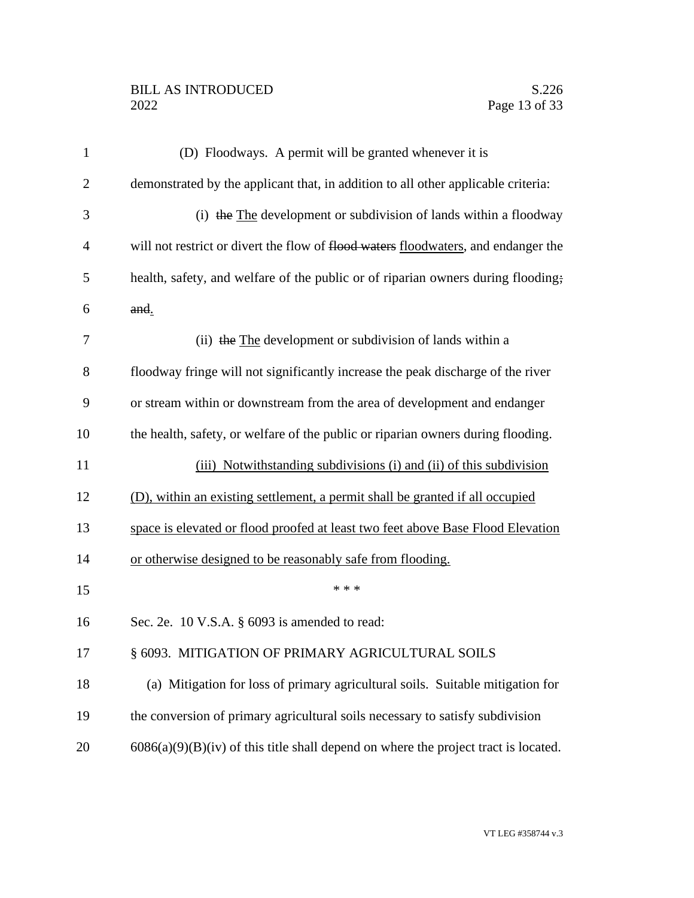# BILL AS INTRODUCED<br>2022 Page 13 of 33

| $\mathbf{1}$   | (D) Floodways. A permit will be granted whenever it is                                |
|----------------|---------------------------------------------------------------------------------------|
| $\overline{2}$ | demonstrated by the applicant that, in addition to all other applicable criteria:     |
| 3              | (i) the The development or subdivision of lands within a floodway                     |
| $\overline{4}$ | will not restrict or divert the flow of flood waters floodwaters, and endanger the    |
| 5              | health, safety, and welfare of the public or of riparian owners during flooding;      |
| 6              | and.                                                                                  |
| 7              | (ii) the The development or subdivision of lands within a                             |
| 8              | floodway fringe will not significantly increase the peak discharge of the river       |
| 9              | or stream within or downstream from the area of development and endanger              |
| 10             | the health, safety, or welfare of the public or riparian owners during flooding.      |
| 11             | (iii) Notwithstanding subdivisions (i) and (ii) of this subdivision                   |
| 12             | (D), within an existing settlement, a permit shall be granted if all occupied         |
| 13             | space is elevated or flood proofed at least two feet above Base Flood Elevation       |
| 14             | or otherwise designed to be reasonably safe from flooding.                            |
| 15             | * * *                                                                                 |
| 16             | Sec. 2e. 10 V.S.A. § 6093 is amended to read:                                         |
| 17             | § 6093. MITIGATION OF PRIMARY AGRICULTURAL SOILS                                      |
| 18             | (a) Mitigation for loss of primary agricultural soils. Suitable mitigation for        |
| 19             | the conversion of primary agricultural soils necessary to satisfy subdivision         |
| 20             | $6086(a)(9)(B)(iv)$ of this title shall depend on where the project tract is located. |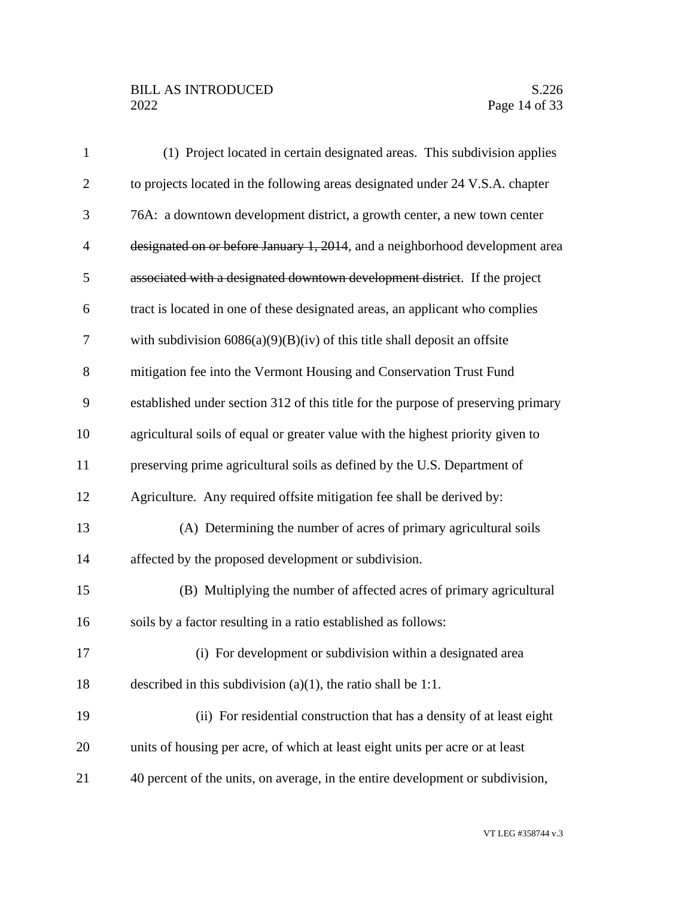# BILL AS INTRODUCED<br>2022 Page 14 of 33

| $\mathbf{1}$   | (1) Project located in certain designated areas. This subdivision applies         |
|----------------|-----------------------------------------------------------------------------------|
| $\overline{2}$ | to projects located in the following areas designated under 24 V.S.A. chapter     |
| 3              | 76A: a downtown development district, a growth center, a new town center          |
| $\overline{4}$ | designated on or before January 1, 2014, and a neighborhood development area      |
| 5              | associated with a designated downtown development district. If the project        |
| 6              | tract is located in one of these designated areas, an applicant who complies      |
| 7              | with subdivision $6086(a)(9)(B)(iv)$ of this title shall deposit an offsite       |
| 8              | mitigation fee into the Vermont Housing and Conservation Trust Fund               |
| 9              | established under section 312 of this title for the purpose of preserving primary |
| 10             | agricultural soils of equal or greater value with the highest priority given to   |
| 11             | preserving prime agricultural soils as defined by the U.S. Department of          |
| 12             | Agriculture. Any required offsite mitigation fee shall be derived by:             |
| 13             | (A) Determining the number of acres of primary agricultural soils                 |
| 14             | affected by the proposed development or subdivision.                              |
| 15             | (B) Multiplying the number of affected acres of primary agricultural              |
| 16             | soils by a factor resulting in a ratio established as follows:                    |
| 17             | (i) For development or subdivision within a designated area                       |
| 18             | described in this subdivision $(a)(1)$ , the ratio shall be 1:1.                  |
| 19             | (ii) For residential construction that has a density of at least eight            |
| 20             | units of housing per acre, of which at least eight units per acre or at least     |
| 21             | 40 percent of the units, on average, in the entire development or subdivision,    |
|                |                                                                                   |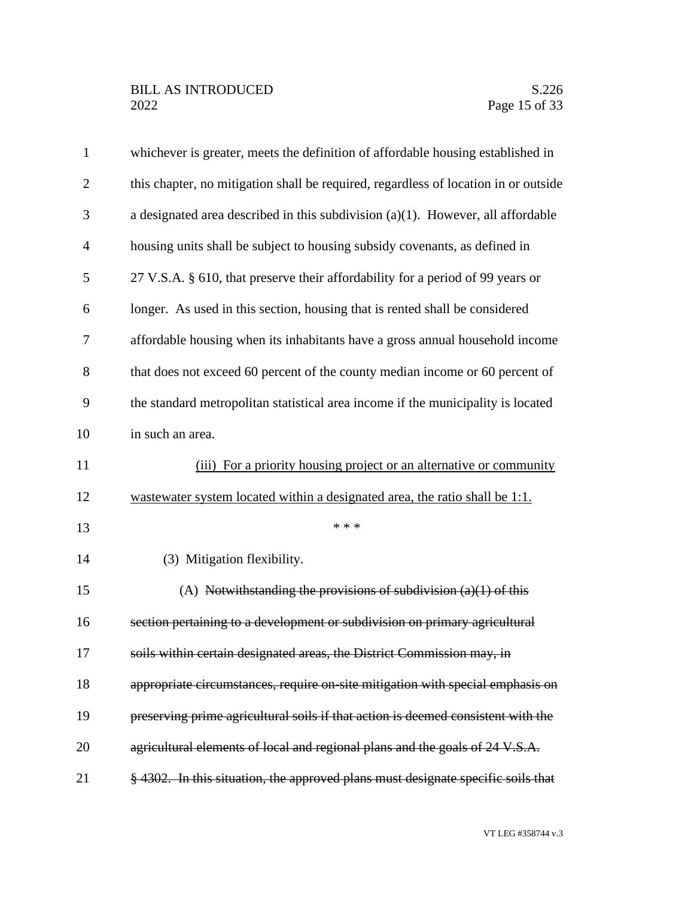| $\mathbf{1}$   | whichever is greater, meets the definition of affordable housing established in     |
|----------------|-------------------------------------------------------------------------------------|
| $\overline{2}$ | this chapter, no mitigation shall be required, regardless of location in or outside |
| 3              | a designated area described in this subdivision $(a)(1)$ . However, all affordable  |
| $\overline{4}$ | housing units shall be subject to housing subsidy covenants, as defined in          |
| 5              | 27 V.S.A. § 610, that preserve their affordability for a period of 99 years or      |
| 6              | longer. As used in this section, housing that is rented shall be considered         |
| 7              | affordable housing when its inhabitants have a gross annual household income        |
| 8              | that does not exceed 60 percent of the county median income or 60 percent of        |
| 9              | the standard metropolitan statistical area income if the municipality is located    |
| 10             | in such an area.                                                                    |
| 11             | (iii) For a priority housing project or an alternative or community                 |
| 12             | wastewater system located within a designated area, the ratio shall be 1:1.         |
| 13             | * * *                                                                               |
| 14             | (3) Mitigation flexibility.                                                         |
| 15             | (A) Notwithstanding the provisions of subdivision $(a)(1)$ of this                  |
| 16             | section pertaining to a development or subdivision on primary agricultural          |
| 17             | soils within certain designated areas, the District Commission may, in              |
| 18             | appropriate circumstances, require on-site mitigation with special emphasis on      |
| 19             | preserving prime agricultural soils if that action is deemed consistent with the    |
| 20             | agricultural elements of local and regional plans and the goals of 24 V.S.A.        |
| 21             | § 4302. In this situation, the approved plans must designate specific soils that    |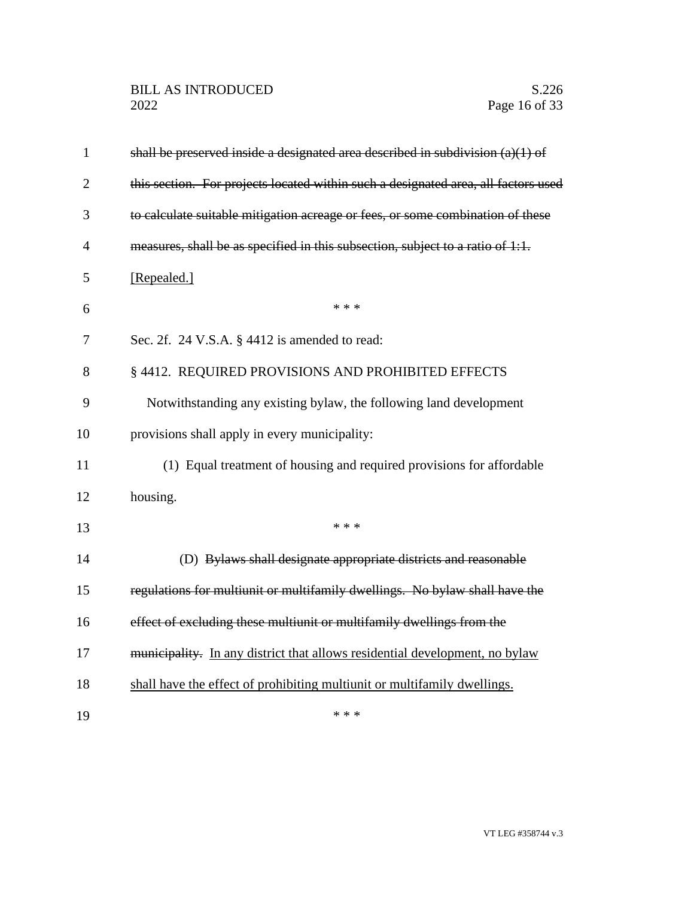| $\mathbf{1}$   | shall be preserved inside a designated area described in subdivision $(a)(1)$ of   |
|----------------|------------------------------------------------------------------------------------|
| $\overline{2}$ | this section. For projects located within such a designated area, all factors used |
| 3              | to calculate suitable mitigation acreage or fees, or some combination of these     |
| $\overline{4}$ | measures, shall be as specified in this subsection, subject to a ratio of 1:1.     |
| 5              | [Repealed.]                                                                        |
| 6              | * * *                                                                              |
| 7              | Sec. 2f. 24 V.S.A. § 4412 is amended to read:                                      |
| 8              | § 4412. REQUIRED PROVISIONS AND PROHIBITED EFFECTS                                 |
| 9              | Notwithstanding any existing bylaw, the following land development                 |
| 10             | provisions shall apply in every municipality:                                      |
| 11             | (1) Equal treatment of housing and required provisions for affordable              |
| 12             | housing.                                                                           |
| 13             | * * *                                                                              |
| 14             | (D) Bylaws shall designate appropriate districts and reasonable                    |
| 15             | regulations for multiunit or multifamily dwellings. No bylaw shall have the        |
| 16             | effect of excluding these multiunit or multifamily dwellings from the              |
| 17             | municipality. In any district that allows residential development, no bylaw        |
| 18             | shall have the effect of prohibiting multiunit or multifamily dwellings.           |
| 19             | * * *                                                                              |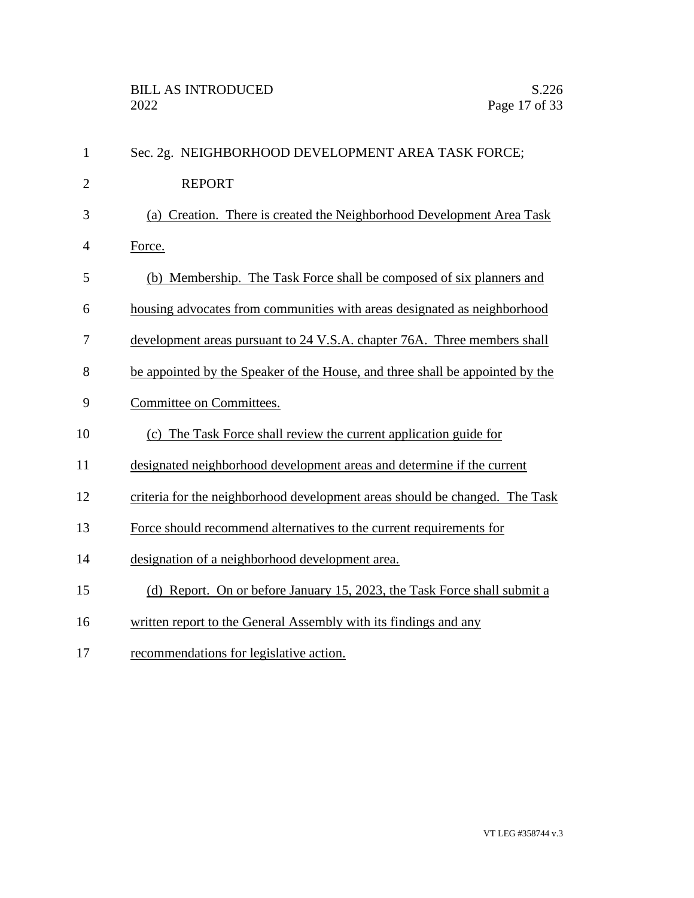| $\mathbf{1}$   | Sec. 2g. NEIGHBORHOOD DEVELOPMENT AREA TASK FORCE;                            |
|----------------|-------------------------------------------------------------------------------|
| $\overline{2}$ | <b>REPORT</b>                                                                 |
| 3              | (a) Creation. There is created the Neighborhood Development Area Task         |
| $\overline{4}$ | Force.                                                                        |
| 5              | (b) Membership. The Task Force shall be composed of six planners and          |
| 6              | housing advocates from communities with areas designated as neighborhood      |
| 7              | development areas pursuant to 24 V.S.A. chapter 76A. Three members shall      |
| 8              | be appointed by the Speaker of the House, and three shall be appointed by the |
| 9              | Committee on Committees.                                                      |
| 10             | (c) The Task Force shall review the current application guide for             |
| 11             | designated neighborhood development areas and determine if the current        |
| 12             | criteria for the neighborhood development areas should be changed. The Task   |
| 13             | Force should recommend alternatives to the current requirements for           |
| 14             | designation of a neighborhood development area.                               |
| 15             | (d) Report. On or before January 15, 2023, the Task Force shall submit a      |
| 16             | written report to the General Assembly with its findings and any              |
| 17             | recommendations for legislative action.                                       |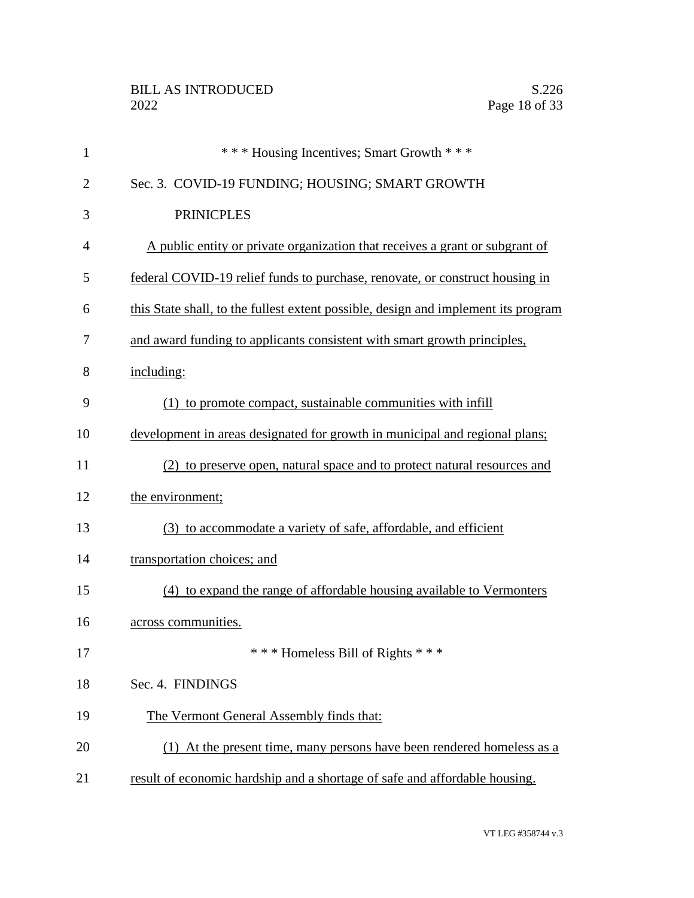| $\mathbf{1}$   | *** Housing Incentives; Smart Growth ***                                           |
|----------------|------------------------------------------------------------------------------------|
| $\overline{2}$ | Sec. 3. COVID-19 FUNDING; HOUSING; SMART GROWTH                                    |
| 3              | <b>PRINICPLES</b>                                                                  |
| $\overline{4}$ | A public entity or private organization that receives a grant or subgrant of       |
| 5              | federal COVID-19 relief funds to purchase, renovate, or construct housing in       |
| 6              | this State shall, to the fullest extent possible, design and implement its program |
| 7              | and award funding to applicants consistent with smart growth principles,           |
| 8              | including:                                                                         |
| 9              | (1) to promote compact, sustainable communities with infill                        |
| 10             | development in areas designated for growth in municipal and regional plans;        |
| 11             | (2) to preserve open, natural space and to protect natural resources and           |
| 12             | the environment;                                                                   |
| 13             | (3) to accommodate a variety of safe, affordable, and efficient                    |
| 14             | transportation choices; and                                                        |
| 15             | (4) to expand the range of affordable housing available to Vermonters              |
| 16             | across communities.                                                                |
| 17             | *** Homeless Bill of Rights ***                                                    |
| 18             | Sec. 4. FINDINGS                                                                   |
| 19             | The Vermont General Assembly finds that:                                           |
| 20             | (1) At the present time, many persons have been rendered homeless as a             |
| 21             | result of economic hardship and a shortage of safe and affordable housing.         |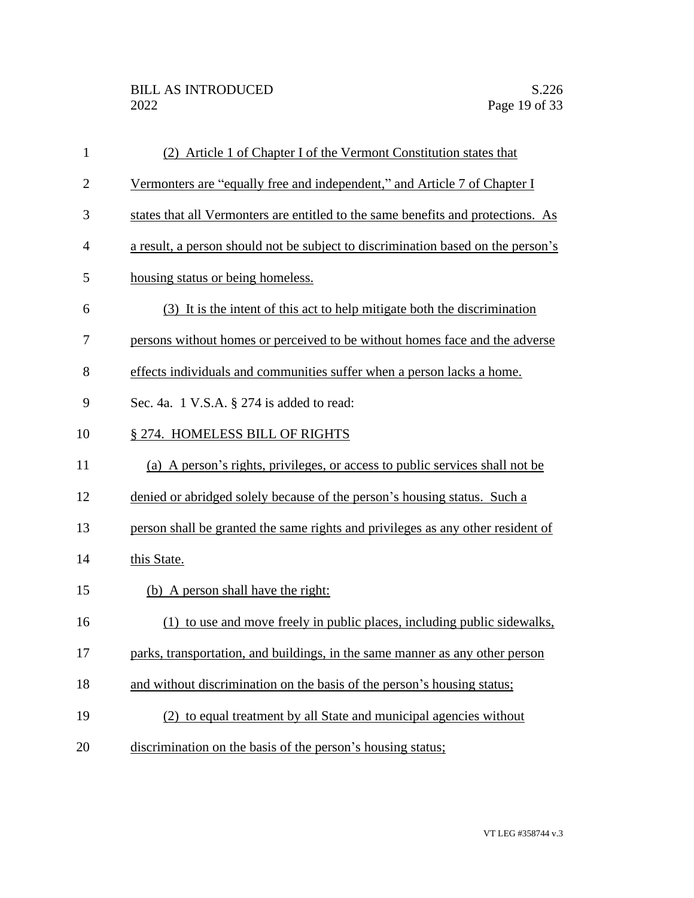| $\mathbf{1}$   | (2) Article 1 of Chapter I of the Vermont Constitution states that               |
|----------------|----------------------------------------------------------------------------------|
| $\overline{c}$ | Vermonters are "equally free and independent," and Article 7 of Chapter I        |
| 3              | states that all Vermonters are entitled to the same benefits and protections. As |
| $\overline{4}$ | a result, a person should not be subject to discrimination based on the person's |
| 5              | housing status or being homeless.                                                |
| 6              | (3) It is the intent of this act to help mitigate both the discrimination        |
| 7              | persons without homes or perceived to be without homes face and the adverse      |
| 8              | effects individuals and communities suffer when a person lacks a home.           |
| 9              | Sec. 4a. 1 V.S.A. § 274 is added to read:                                        |
| 10             | § 274. HOMELESS BILL OF RIGHTS                                                   |
| 11             | (a) A person's rights, privileges, or access to public services shall not be     |
| 12             | denied or abridged solely because of the person's housing status. Such a         |
| 13             | person shall be granted the same rights and privileges as any other resident of  |
| 14             | this State.                                                                      |
| 15             | (b) A person shall have the right:                                               |
| 16             | (1) to use and move freely in public places, including public sidewalks,         |
| 17             | parks, transportation, and buildings, in the same manner as any other person     |
| 18             | and without discrimination on the basis of the person's housing status;          |
| 19             | (2) to equal treatment by all State and municipal agencies without               |
| 20             | discrimination on the basis of the person's housing status;                      |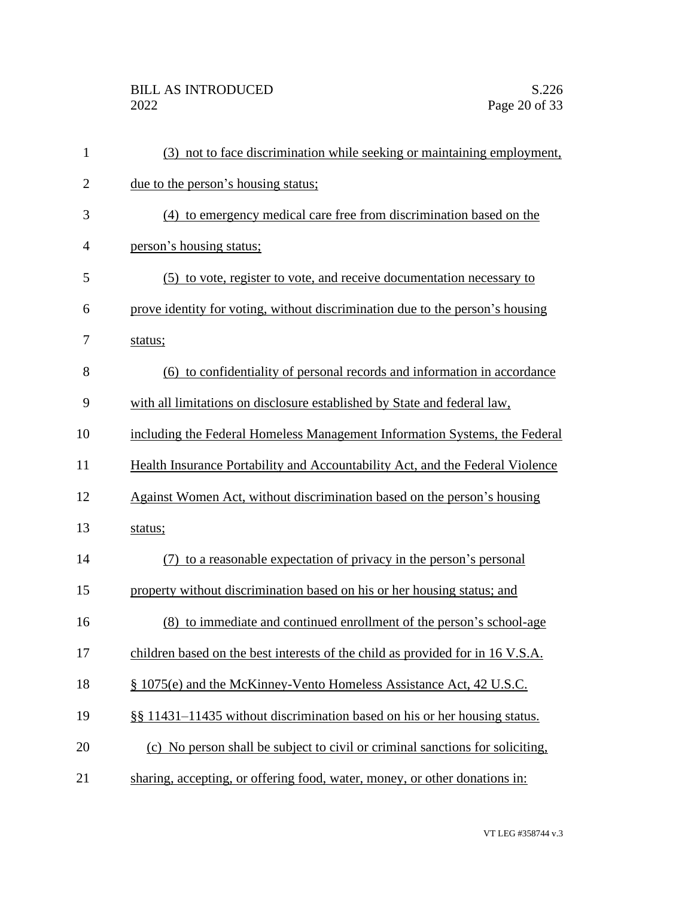| $\mathbf{1}$   | (3) not to face discrimination while seeking or maintaining employment,        |
|----------------|--------------------------------------------------------------------------------|
| $\overline{2}$ | due to the person's housing status;                                            |
| 3              | (4) to emergency medical care free from discrimination based on the            |
| $\overline{4}$ | person's housing status;                                                       |
| 5              | (5) to vote, register to vote, and receive documentation necessary to          |
| 6              | prove identity for voting, without discrimination due to the person's housing  |
| 7              | status;                                                                        |
| 8              | (6) to confidentiality of personal records and information in accordance       |
| 9              | with all limitations on disclosure established by State and federal law,       |
| 10             | including the Federal Homeless Management Information Systems, the Federal     |
| 11             | Health Insurance Portability and Accountability Act, and the Federal Violence  |
| 12             | Against Women Act, without discrimination based on the person's housing        |
| 13             | status;                                                                        |
| 14             | to a reasonable expectation of privacy in the person's personal                |
| 15             | property without discrimination based on his or her housing status; and        |
| 16             | (8) to immediate and continued enrollment of the person's school-age           |
| 17             | children based on the best interests of the child as provided for in 16 V.S.A. |
| 18             | § 1075(e) and the McKinney-Vento Homeless Assistance Act, 42 U.S.C.            |
| 19             | §§ 11431–11435 without discrimination based on his or her housing status.      |
| 20             | (c) No person shall be subject to civil or criminal sanctions for soliciting,  |
| 21             | sharing, accepting, or offering food, water, money, or other donations in:     |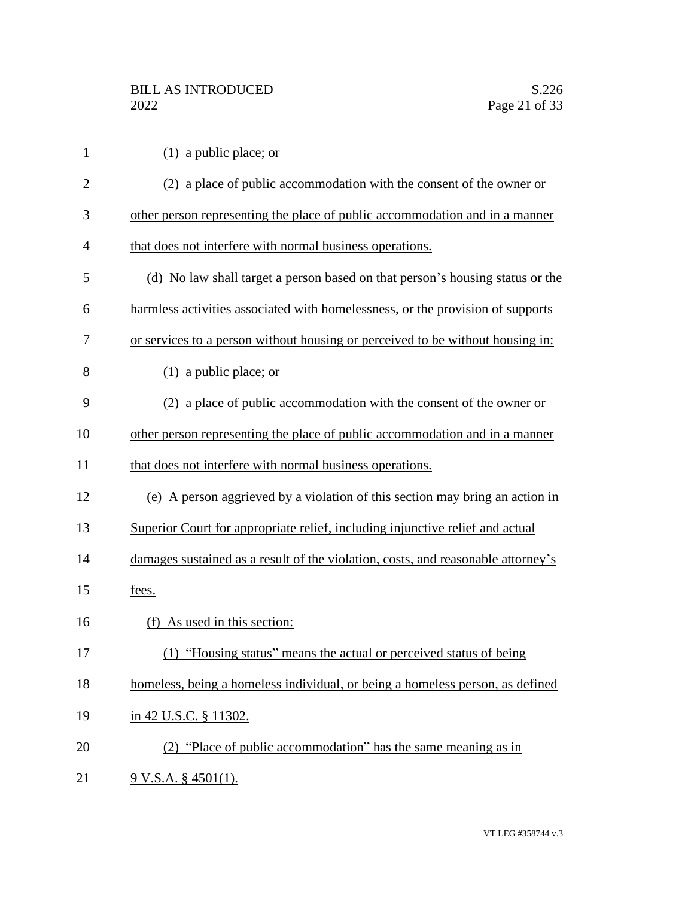| $\mathbf{1}$   | $(1)$ a public place; or                                                         |
|----------------|----------------------------------------------------------------------------------|
| $\overline{2}$ | (2) a place of public accommodation with the consent of the owner or             |
| 3              | other person representing the place of public accommodation and in a manner      |
| $\overline{4}$ | that does not interfere with normal business operations.                         |
| 5              | (d) No law shall target a person based on that person's housing status or the    |
| 6              | harmless activities associated with homelessness, or the provision of supports   |
| 7              | or services to a person without housing or perceived to be without housing in:   |
| 8              | $(1)$ a public place; or                                                         |
| 9              | (2) a place of public accommodation with the consent of the owner or             |
| 10             | other person representing the place of public accommodation and in a manner      |
| 11             | that does not interfere with normal business operations.                         |
| 12             | (e) A person aggrieved by a violation of this section may bring an action in     |
| 13             | Superior Court for appropriate relief, including injunctive relief and actual    |
| 14             | damages sustained as a result of the violation, costs, and reasonable attorney's |
| 15             | fees.                                                                            |
| 16             | As used in this section:<br>(f)                                                  |
| 17             | (1) "Housing status" means the actual or perceived status of being               |
| 18             | homeless, being a homeless individual, or being a homeless person, as defined    |
| 19             | in 42 U.S.C. § 11302.                                                            |
| 20             | (2) "Place of public accommodation" has the same meaning as in                   |
| 21             | $9 \text{ V.S.A. }$ § 4501(1).                                                   |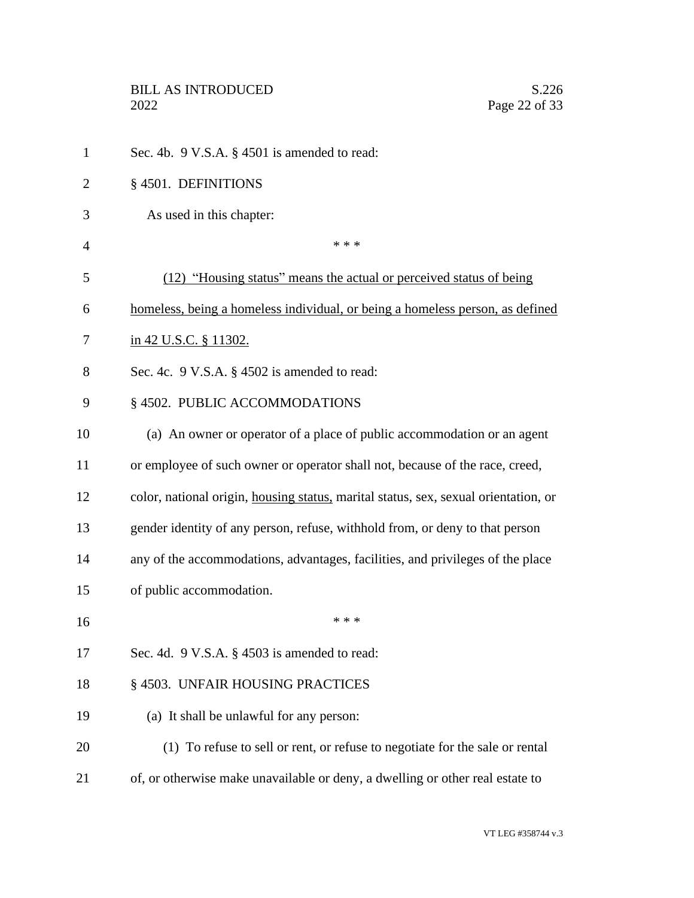| $\mathbf{1}$   | Sec. 4b. 9 V.S.A. § 4501 is amended to read:                                        |
|----------------|-------------------------------------------------------------------------------------|
| $\overline{2}$ | § 4501. DEFINITIONS                                                                 |
| 3              | As used in this chapter:                                                            |
| $\overline{4}$ | * * *                                                                               |
| 5              | (12) "Housing status" means the actual or perceived status of being                 |
| 6              | homeless, being a homeless individual, or being a homeless person, as defined       |
| 7              | in 42 U.S.C. § 11302.                                                               |
| 8              | Sec. 4c. 9 V.S.A. § 4502 is amended to read:                                        |
| 9              | § 4502. PUBLIC ACCOMMODATIONS                                                       |
| 10             | (a) An owner or operator of a place of public accommodation or an agent             |
| 11             | or employee of such owner or operator shall not, because of the race, creed,        |
| 12             | color, national origin, housing status, marital status, sex, sexual orientation, or |
| 13             | gender identity of any person, refuse, withhold from, or deny to that person        |
| 14             | any of the accommodations, advantages, facilities, and privileges of the place      |
| 15             | of public accommodation.                                                            |
| 16             | * * *                                                                               |
| 17             | Sec. 4d. $9 \text{ V.S.A. }$ \$4503 is amended to read:                             |
| 18             | § 4503. UNFAIR HOUSING PRACTICES                                                    |
| 19             | (a) It shall be unlawful for any person:                                            |
| 20             | (1) To refuse to sell or rent, or refuse to negotiate for the sale or rental        |
| 21             | of, or otherwise make unavailable or deny, a dwelling or other real estate to       |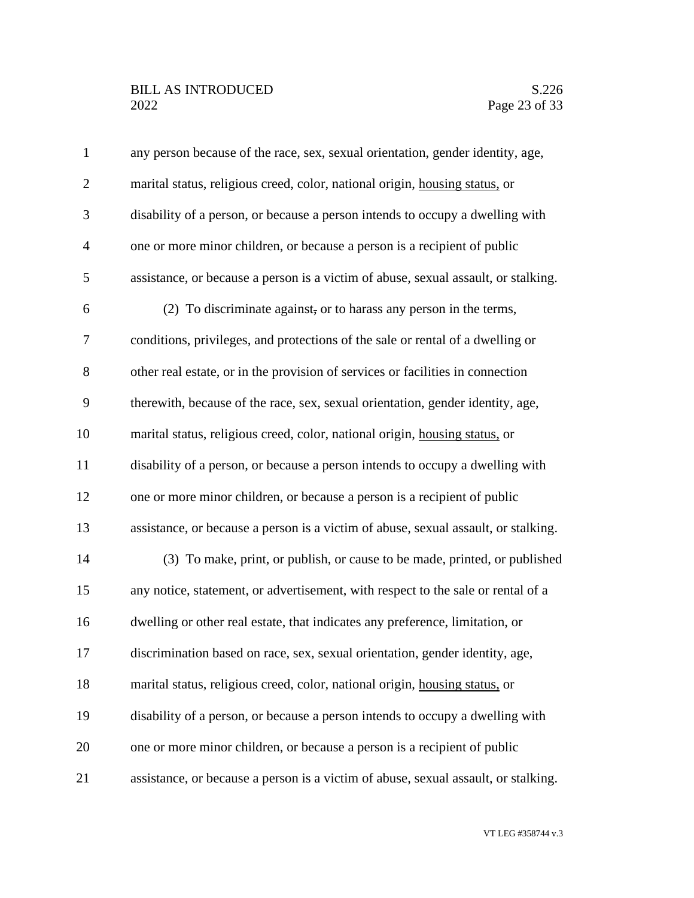# BILL AS INTRODUCED<br>2022 Page 23 of 33

| $\mathbf{1}$   | any person because of the race, sex, sexual orientation, gender identity, age,     |
|----------------|------------------------------------------------------------------------------------|
| $\overline{2}$ | marital status, religious creed, color, national origin, housing status, or        |
| 3              | disability of a person, or because a person intends to occupy a dwelling with      |
| $\overline{4}$ | one or more minor children, or because a person is a recipient of public           |
| 5              | assistance, or because a person is a victim of abuse, sexual assault, or stalking. |
| 6              | (2) To discriminate against, or to harass any person in the terms,                 |
| 7              | conditions, privileges, and protections of the sale or rental of a dwelling or     |
| $8\,$          | other real estate, or in the provision of services or facilities in connection     |
| 9              | therewith, because of the race, sex, sexual orientation, gender identity, age,     |
| 10             | marital status, religious creed, color, national origin, housing status, or        |
| 11             | disability of a person, or because a person intends to occupy a dwelling with      |
| 12             | one or more minor children, or because a person is a recipient of public           |
| 13             | assistance, or because a person is a victim of abuse, sexual assault, or stalking. |
| 14             | (3) To make, print, or publish, or cause to be made, printed, or published         |
| 15             | any notice, statement, or advertisement, with respect to the sale or rental of a   |
| 16             | dwelling or other real estate, that indicates any preference, limitation, or       |
| 17             | discrimination based on race, sex, sexual orientation, gender identity, age,       |
| 18             | marital status, religious creed, color, national origin, housing status, or        |
| 19             | disability of a person, or because a person intends to occupy a dwelling with      |
| 20             | one or more minor children, or because a person is a recipient of public           |
| 21             | assistance, or because a person is a victim of abuse, sexual assault, or stalking. |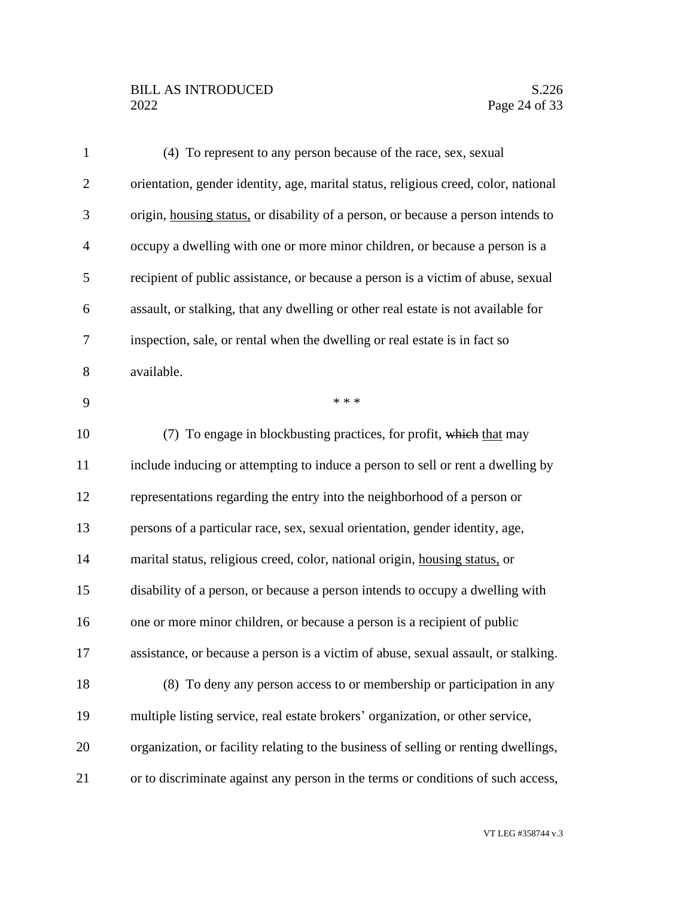# BILL AS INTRODUCED<br>2022 Page 24 of 33

| $\mathbf{1}$   | (4) To represent to any person because of the race, sex, sexual                     |
|----------------|-------------------------------------------------------------------------------------|
| $\overline{2}$ | orientation, gender identity, age, marital status, religious creed, color, national |
| 3              | origin, housing status, or disability of a person, or because a person intends to   |
| $\overline{4}$ | occupy a dwelling with one or more minor children, or because a person is a         |
| 5              | recipient of public assistance, or because a person is a victim of abuse, sexual    |
| 6              | assault, or stalking, that any dwelling or other real estate is not available for   |
| 7              | inspection, sale, or rental when the dwelling or real estate is in fact so          |
| 8              | available.                                                                          |
| 9              | * * *                                                                               |
| 10             | (7) To engage in blockbusting practices, for profit, which that may                 |
| 11             | include inducing or attempting to induce a person to sell or rent a dwelling by     |
| 12             | representations regarding the entry into the neighborhood of a person or            |
| 13             | persons of a particular race, sex, sexual orientation, gender identity, age,        |
| 14             | marital status, religious creed, color, national origin, housing status, or         |
| 15             | disability of a person, or because a person intends to occupy a dwelling with       |
| 16             | one or more minor children, or because a person is a recipient of public            |
| 17             | assistance, or because a person is a victim of abuse, sexual assault, or stalking.  |
| 18             | (8) To deny any person access to or membership or participation in any              |
| 19             | multiple listing service, real estate brokers' organization, or other service,      |
| 20             | organization, or facility relating to the business of selling or renting dwellings, |
| 21             | or to discriminate against any person in the terms or conditions of such access,    |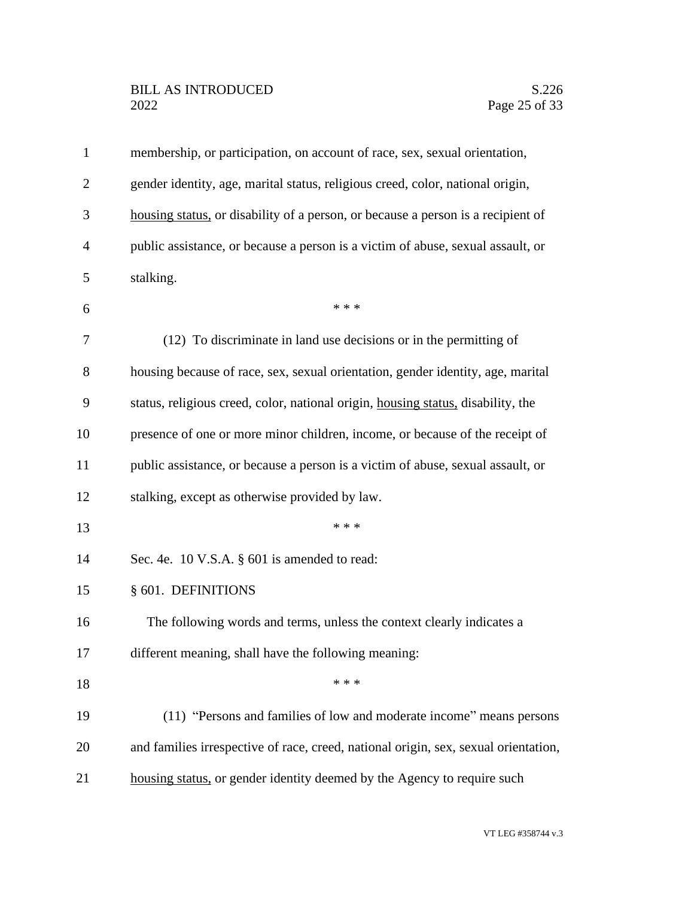# BILL AS INTRODUCED<br>2022 Page 25 of 33

| $\mathbf{1}$   | membership, or participation, on account of race, sex, sexual orientation,          |
|----------------|-------------------------------------------------------------------------------------|
| $\overline{2}$ | gender identity, age, marital status, religious creed, color, national origin,      |
| 3              | housing status, or disability of a person, or because a person is a recipient of    |
| $\overline{4}$ | public assistance, or because a person is a victim of abuse, sexual assault, or     |
| 5              | stalking.                                                                           |
| 6              | * * *                                                                               |
| 7              | (12) To discriminate in land use decisions or in the permitting of                  |
| 8              | housing because of race, sex, sexual orientation, gender identity, age, marital     |
| 9              | status, religious creed, color, national origin, housing status, disability, the    |
| 10             | presence of one or more minor children, income, or because of the receipt of        |
| 11             | public assistance, or because a person is a victim of abuse, sexual assault, or     |
| 12             | stalking, except as otherwise provided by law.                                      |
| 13             | * * *                                                                               |
| 14             | Sec. 4e. 10 V.S.A. § 601 is amended to read:                                        |
| 15             | § 601. DEFINITIONS                                                                  |
| 16             | The following words and terms, unless the context clearly indicates a               |
| 17             | different meaning, shall have the following meaning:                                |
| 18             | * * *                                                                               |
| 19             | (11) "Persons and families of low and moderate income" means persons                |
| 20             | and families irrespective of race, creed, national origin, sex, sexual orientation, |
| 21             | housing status, or gender identity deemed by the Agency to require such             |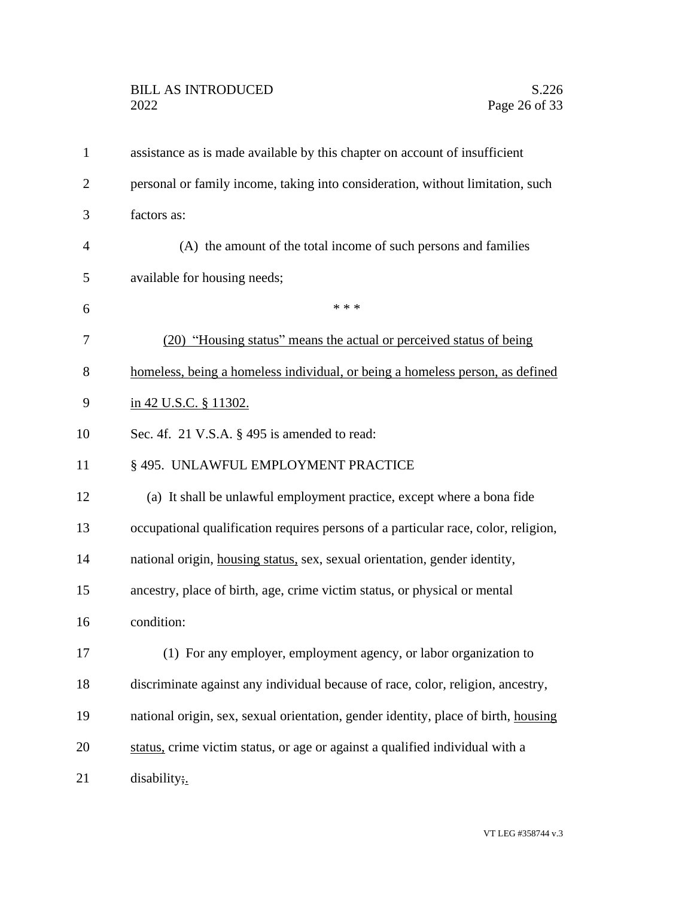| $\mathbf{1}$   | assistance as is made available by this chapter on account of insufficient         |
|----------------|------------------------------------------------------------------------------------|
| $\overline{2}$ | personal or family income, taking into consideration, without limitation, such     |
| 3              | factors as:                                                                        |
| $\overline{4}$ | (A) the amount of the total income of such persons and families                    |
| 5              | available for housing needs;                                                       |
| 6              | * * *                                                                              |
| 7              | (20) "Housing status" means the actual or perceived status of being                |
| 8              | homeless, being a homeless individual, or being a homeless person, as defined      |
| 9              | in 42 U.S.C. § 11302.                                                              |
| 10             | Sec. 4f. 21 V.S.A. § 495 is amended to read:                                       |
| 11             | § 495. UNLAWFUL EMPLOYMENT PRACTICE                                                |
| 12             | (a) It shall be unlawful employment practice, except where a bona fide             |
| 13             | occupational qualification requires persons of a particular race, color, religion, |
| 14             | national origin, housing status, sex, sexual orientation, gender identity,         |
| 15             | ancestry, place of birth, age, crime victim status, or physical or mental          |
| 16             | condition:                                                                         |
| 17             | (1) For any employer, employment agency, or labor organization to                  |
| 18             | discriminate against any individual because of race, color, religion, ancestry,    |
| 19             | national origin, sex, sexual orientation, gender identity, place of birth, housing |
| 20             | status, crime victim status, or age or against a qualified individual with a       |
| 21             | disability;                                                                        |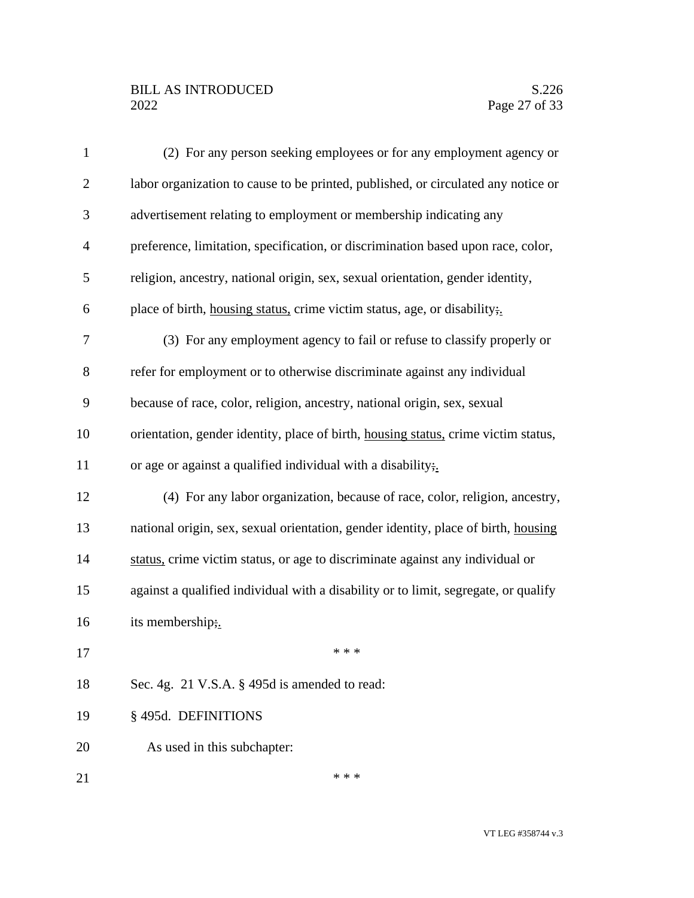# BILL AS INTRODUCED<br>2022 Page 27 of 33

| $\mathbf{1}$   | (2) For any person seeking employees or for any employment agency or                |
|----------------|-------------------------------------------------------------------------------------|
| $\overline{c}$ | labor organization to cause to be printed, published, or circulated any notice or   |
| 3              | advertisement relating to employment or membership indicating any                   |
| $\overline{4}$ | preference, limitation, specification, or discrimination based upon race, color,    |
| 5              | religion, ancestry, national origin, sex, sexual orientation, gender identity,      |
| 6              | place of birth, housing status, crime victim status, age, or disability;            |
| 7              | (3) For any employment agency to fail or refuse to classify properly or             |
| 8              | refer for employment or to otherwise discriminate against any individual            |
| 9              | because of race, color, religion, ancestry, national origin, sex, sexual            |
| 10             | orientation, gender identity, place of birth, housing status, crime victim status,  |
| 11             | or age or against a qualified individual with a disability;                         |
| 12             | (4) For any labor organization, because of race, color, religion, ancestry,         |
| 13             | national origin, sex, sexual orientation, gender identity, place of birth, housing  |
| 14             | status, crime victim status, or age to discriminate against any individual or       |
| 15             | against a qualified individual with a disability or to limit, segregate, or qualify |
| 16             | its membership;                                                                     |
| 17             | * * *                                                                               |
| 18             | Sec. 4g. 21 V.S.A. § 495d is amended to read:                                       |
| 19             | §495d. DEFINITIONS                                                                  |
| 20             | As used in this subchapter:                                                         |
| 21             | * * *                                                                               |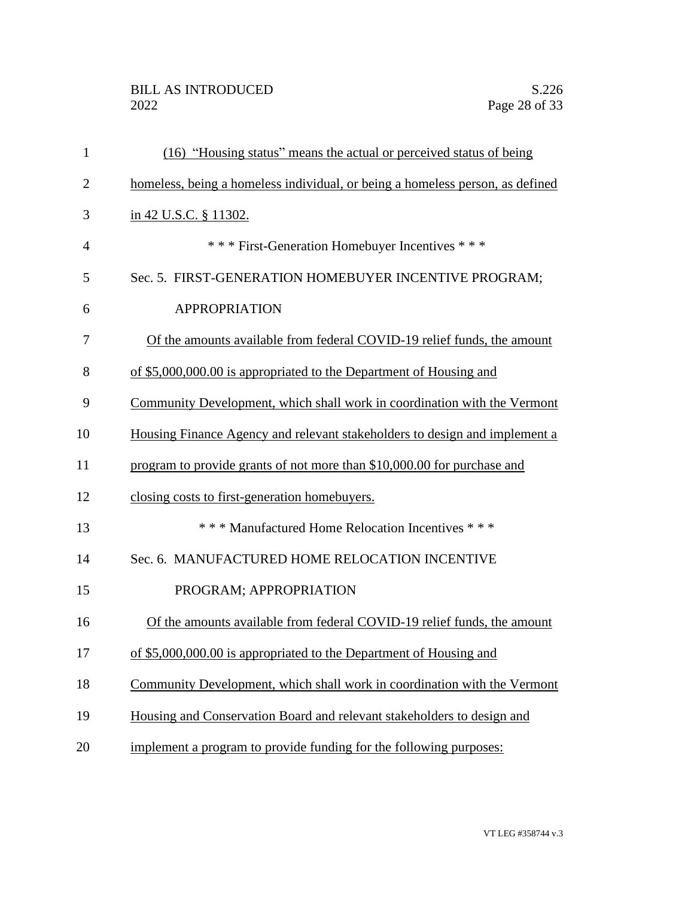# BILL AS INTRODUCED<br>2022 Page 28 of 33

| $\mathbf{1}$   | (16) "Housing status" means the actual or perceived status of being           |
|----------------|-------------------------------------------------------------------------------|
| $\overline{2}$ | homeless, being a homeless individual, or being a homeless person, as defined |
| 3              | in 42 U.S.C. § 11302.                                                         |
| $\overline{4}$ | *** First-Generation Homebuyer Incentives ***                                 |
| 5              | Sec. 5. FIRST-GENERATION HOMEBUYER INCENTIVE PROGRAM;                         |
| 6              | <b>APPROPRIATION</b>                                                          |
| 7              | Of the amounts available from federal COVID-19 relief funds, the amount       |
| 8              | of \$5,000,000.00 is appropriated to the Department of Housing and            |
| 9              | Community Development, which shall work in coordination with the Vermont      |
| 10             | Housing Finance Agency and relevant stakeholders to design and implement a    |
| 11             | program to provide grants of not more than \$10,000.00 for purchase and       |
| 12             | closing costs to first-generation homebuyers.                                 |
| 13             | *** Manufactured Home Relocation Incentives ***                               |
| 14             | Sec. 6. MANUFACTURED HOME RELOCATION INCENTIVE                                |
| 15             | PROGRAM; APPROPRIATION                                                        |
| 16             | Of the amounts available from federal COVID-19 relief funds, the amount       |
| 17             | of \$5,000,000.00 is appropriated to the Department of Housing and            |
| 18             | Community Development, which shall work in coordination with the Vermont      |
| 19             | Housing and Conservation Board and relevant stakeholders to design and        |
| 20             | implement a program to provide funding for the following purposes:            |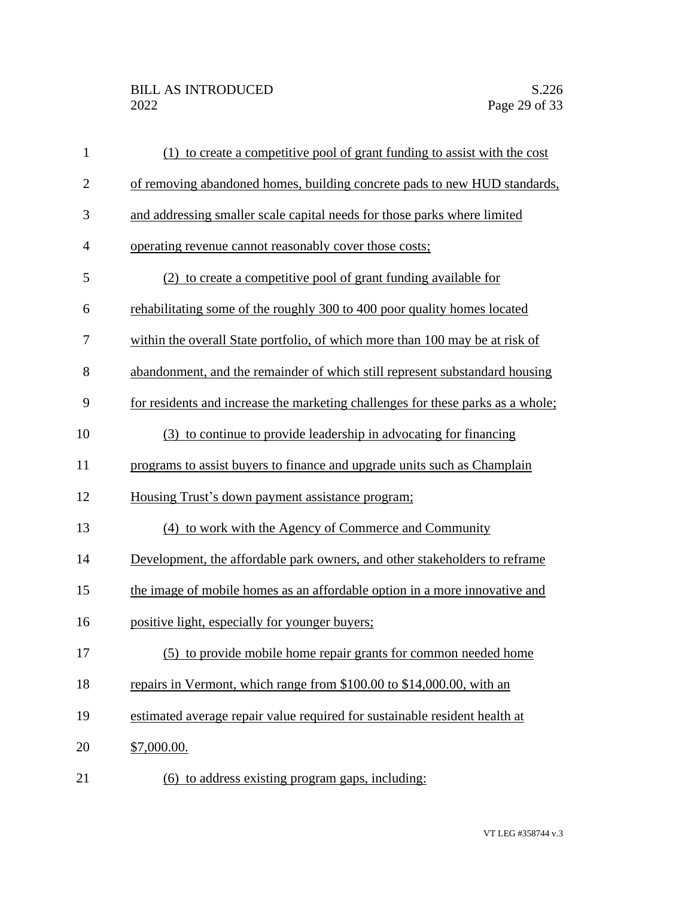| $\mathbf{1}$ | (1) to create a competitive pool of grant funding to assist with the cost       |
|--------------|---------------------------------------------------------------------------------|
| $\mathbf{2}$ | of removing abandoned homes, building concrete pads to new HUD standards,       |
| 3            | and addressing smaller scale capital needs for those parks where limited        |
| 4            | operating revenue cannot reasonably cover those costs;                          |
| 5            | (2) to create a competitive pool of grant funding available for                 |
| 6            | rehabilitating some of the roughly 300 to 400 poor quality homes located        |
| 7            | within the overall State portfolio, of which more than 100 may be at risk of    |
| 8            | abandonment, and the remainder of which still represent substandard housing     |
| 9            | for residents and increase the marketing challenges for these parks as a whole; |
| 10           | (3) to continue to provide leadership in advocating for financing               |
| 11           | programs to assist buyers to finance and upgrade units such as Champlain        |
| 12           | Housing Trust's down payment assistance program;                                |
| 13           | (4) to work with the Agency of Commerce and Community                           |
| 14           | Development, the affordable park owners, and other stakeholders to reframe      |
| 15           | the image of mobile homes as an affordable option in a more innovative and      |
| 16           | positive light, especially for younger buyers;                                  |
| 17           | (5) to provide mobile home repair grants for common needed home                 |
| 18           | repairs in Vermont, which range from \$100.00 to \$14,000.00, with an           |
| 19           | estimated average repair value required for sustainable resident health at      |
| 20           | \$7,000.00.                                                                     |
| 21           | (6) to address existing program gaps, including:                                |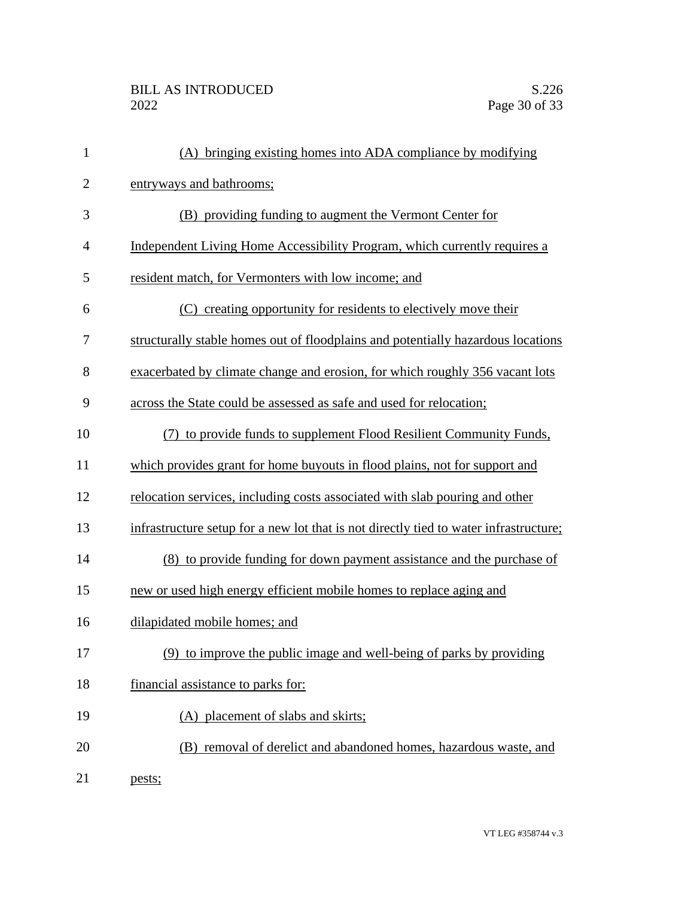| $\mathbf{1}$   | (A) bringing existing homes into ADA compliance by modifying                          |
|----------------|---------------------------------------------------------------------------------------|
| $\overline{2}$ | entryways and bathrooms;                                                              |
| 3              | (B) providing funding to augment the Vermont Center for                               |
| 4              | Independent Living Home Accessibility Program, which currently requires a             |
| 5              | resident match, for Vermonters with low income; and                                   |
| 6              | (C) creating opportunity for residents to electively move their                       |
| 7              | structurally stable homes out of floodplains and potentially hazardous locations      |
| 8              | exacerbated by climate change and erosion, for which roughly 356 vacant lots          |
| 9              | across the State could be assessed as safe and used for relocation;                   |
| 10             | to provide funds to supplement Flood Resilient Community Funds,                       |
| 11             | which provides grant for home buyouts in flood plains, not for support and            |
| 12             | relocation services, including costs associated with slab pouring and other           |
| 13             | infrastructure setup for a new lot that is not directly tied to water infrastructure; |
| 14             | (8) to provide funding for down payment assistance and the purchase of                |
| 15             | new or used high energy efficient mobile homes to replace aging and                   |
| 16             | dilapidated mobile homes; and                                                         |
| 17             | (9) to improve the public image and well-being of parks by providing                  |
| 18             | financial assistance to parks for:                                                    |
| 19             | (A) placement of slabs and skirts;                                                    |
| 20             | (B) removal of derelict and abandoned homes, hazardous waste, and                     |
| 21             | pests;                                                                                |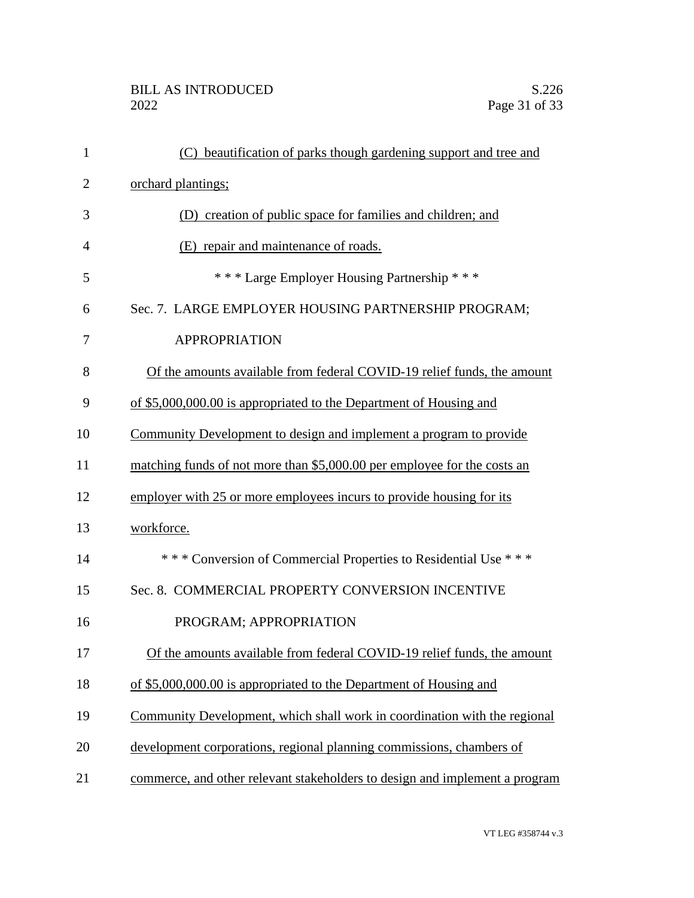| $\mathbf{1}$   | (C) beautification of parks though gardening support and tree and           |
|----------------|-----------------------------------------------------------------------------|
| $\overline{2}$ | orchard plantings;                                                          |
| 3              | (D) creation of public space for families and children; and                 |
| $\overline{4}$ | (E) repair and maintenance of roads.                                        |
| 5              | *** Large Employer Housing Partnership ***                                  |
| 6              | Sec. 7. LARGE EMPLOYER HOUSING PARTNERSHIP PROGRAM;                         |
| 7              | <b>APPROPRIATION</b>                                                        |
| 8              | Of the amounts available from federal COVID-19 relief funds, the amount     |
| 9              | of \$5,000,000.00 is appropriated to the Department of Housing and          |
| 10             | Community Development to design and implement a program to provide          |
| 11             | matching funds of not more than \$5,000.00 per employee for the costs an    |
| 12             | employer with 25 or more employees incurs to provide housing for its        |
| 13             | workforce.                                                                  |
| 14             | *** Conversion of Commercial Properties to Residential Use ***              |
| 15             | Sec. 8. COMMERCIAL PROPERTY CONVERSION INCENTIVE                            |
| 16             | PROGRAM; APPROPRIATION                                                      |
| 17             | Of the amounts available from federal COVID-19 relief funds, the amount     |
| 18             | of \$5,000,000.00 is appropriated to the Department of Housing and          |
| 19             | Community Development, which shall work in coordination with the regional   |
| 20             | development corporations, regional planning commissions, chambers of        |
| 21             | commerce, and other relevant stakeholders to design and implement a program |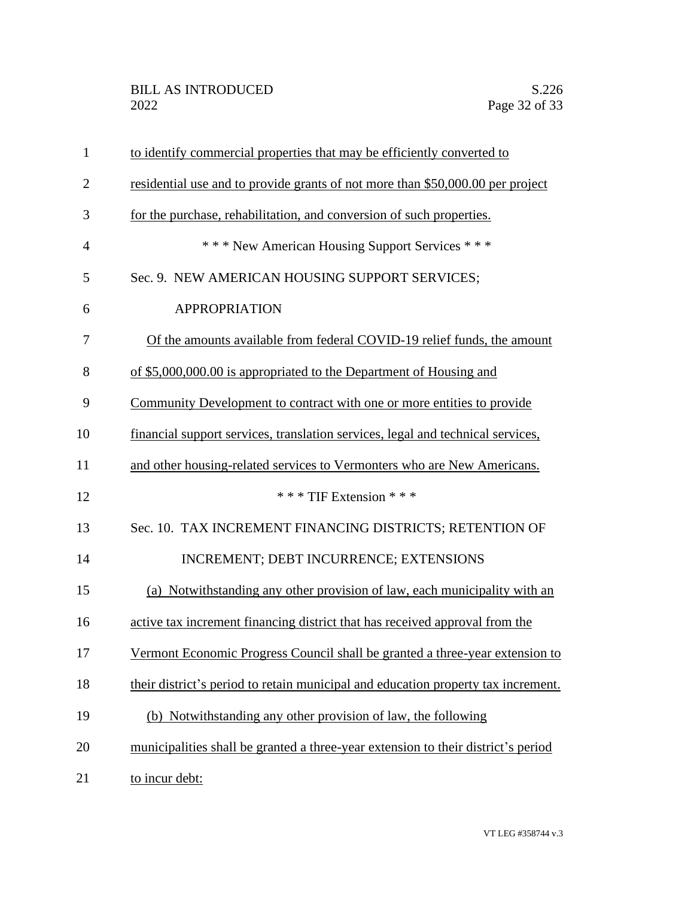| $\mathbf{1}$   | to identify commercial properties that may be efficiently converted to            |
|----------------|-----------------------------------------------------------------------------------|
| $\overline{2}$ | residential use and to provide grants of not more than \$50,000.00 per project    |
| 3              | for the purchase, rehabilitation, and conversion of such properties.              |
| $\overline{4}$ | *** New American Housing Support Services ***                                     |
| 5              | Sec. 9. NEW AMERICAN HOUSING SUPPORT SERVICES;                                    |
| 6              | <b>APPROPRIATION</b>                                                              |
| 7              | Of the amounts available from federal COVID-19 relief funds, the amount           |
| 8              | of \$5,000,000.00 is appropriated to the Department of Housing and                |
| 9              | Community Development to contract with one or more entities to provide            |
| 10             | financial support services, translation services, legal and technical services,   |
| 11             | and other housing-related services to Vermonters who are New Americans.           |
| 12             | *** TIF Extension ***                                                             |
| 13             | Sec. 10. TAX INCREMENT FINANCING DISTRICTS; RETENTION OF                          |
| 14             | INCREMENT; DEBT INCURRENCE; EXTENSIONS                                            |
| 15             | (a) Notwithstanding any other provision of law, each municipality with an         |
| 16             | active tax increment financing district that has received approval from the       |
| 17             | Vermont Economic Progress Council shall be granted a three-year extension to      |
| 18             | their district's period to retain municipal and education property tax increment. |
| 19             | (b) Notwithstanding any other provision of law, the following                     |
| 20             | municipalities shall be granted a three-year extension to their district's period |
| 21             | to incur debt:                                                                    |